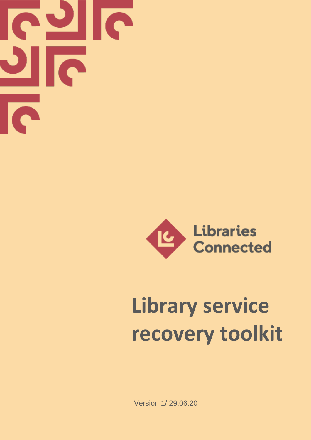



# **Library service recovery toolkit**

Version 1/ 29.06.20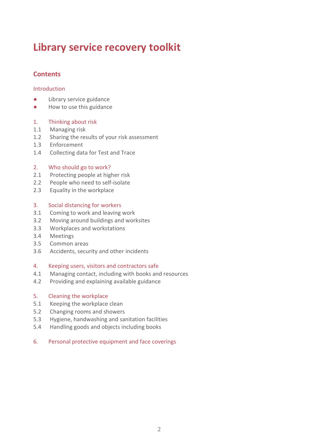# **Library service recovery toolkit**

# **Contents**

#### Introduction

- Library service guidance
- How to use this guidance

#### 1. Thinking about risk

- 1.1 Managing risk
- 1.2 Sharing the results of your risk assessment
- 1.3 Enforcement
- 1.4 Collecting data for Test and Trace

#### 2. Who should go to work?

- 2.1 Protecting people at higher risk
- 2.2 People who need to self-isolate
- 2.3 Equality in the workplace

#### 3. Social distancing for workers

- 3.1 Coming to work and leaving work
- 3.2 Moving around buildings and worksites
- 3.3 Workplaces and workstations
- 3.4 Meetings
- 3.5 Common areas
- 3.6 Accidents, security and other incidents

#### 4. Keeping users, visitors and contractors safe

- 4.1 Managing contact, including with books and resources
- 4.2 Providing and explaining available guidance

#### 5. Cleaning the workplace

- 5.1 Keeping the workplace clean
- 5.2 Changing rooms and showers
- 5.3 Hygiene, handwashing and sanitation facilities
- 5.4 Handling goods and objects including books

#### 6. Personal protective equipment and face coverings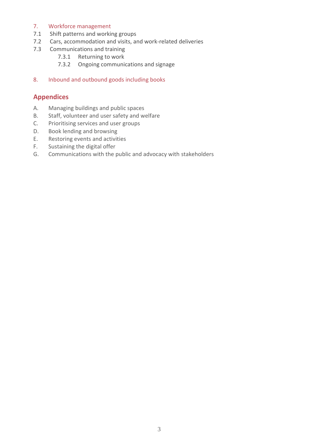# 7. Workforce management

- 7.1 Shift patterns and working groups
- 7.2 Cars, accommodation and visits, and work-related deliveries<br>7.3 Communications and training
- Communications and training
	- 7.3.1 Returning to work
	- 7.3.2 Ongoing communications and signage
- 8. Inbound and outbound goods including books

# **Appendices**

- A. Managing buildings and public spaces
- B. Staff, volunteer and user safety and welfare
- C. Prioritising services and user groups
- D. Book lending and browsing
- E. Restoring events and activities
- F. Sustaining the digital offer
- G. Communications with the public and advocacy with stakeholders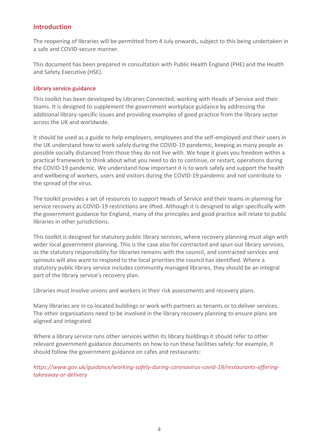# **Introduction**

The reopening of libraries will be permitted from 4 July onwards, subject to this being undertaken in a safe and COVID-secure manner.

This document has been prepared in consultation with Public Health England (PHE) and the Health and Safety Executive (HSE).

#### **Library service guidance**

This toolkit has been developed by Libraries Connected, working with Heads of Service and their teams. It is designed to supplement the government workplace guidance by addressing the additional library-specific issues and providing examples of good practice from the library sector across the UK and worldwide.

It should be used as a guide to help employers, employees and the self-employed and their users in the UK understand how to work safely during the COVID-19 pandemic, keeping as many people as possible socially distanced from those they do not live with. We hope it gives you freedom within a practical framework to think about what you need to do to continue, or restart, operations during the COVID-19 pandemic. We understand how important it is to work safely and support the health and wellbeing of workers, users and visitors during the COVID-19 pandemic and not contribute to the spread of the virus.

The toolkit provides a set of resources to support Heads of Service and their teams in planning for service recovery as COVID-19 restrictions are lifted. Although it is designed to align specifically with the government guidance for England, many of the principles and good practice will relate to public libraries in other jurisdictions.

This toolkit is designed for statutory public library services, where recovery planning must align with wider local government planning. This is the case also for contracted and spun-out library services, as the statutory responsibility for libraries remains with the council, and contracted services and spinouts will also want to respond to the local priorities the council has identified. Where a statutory public library service includes community managed libraries, they should be an integral part of the library service's recovery plan.

Libraries must involve unions and workers in their risk assessments and recovery plans.

Many libraries are in co-located buildings or work with partners as tenants or to deliver services. The other organisations need to be involved in the library recovery planning to ensure plans are aligned and integrated.

Where a library service runs other services within its library buildings it should refer to other relevant government guidance documents on how to run these facilities safely: for example, it should follow the government guidance on cafes and restaurants:

*[https://www.gov.uk/guidance/working-safely-during-coronavirus-covid-19/restaurants-offering](https://www.gov.uk/guidance/working-safely-during-coronavirus-covid-19/restaurants-offering-takeaway-or-delivery)[takeaway-or-delivery](https://www.gov.uk/guidance/working-safely-during-coronavirus-covid-19/restaurants-offering-takeaway-or-delivery)*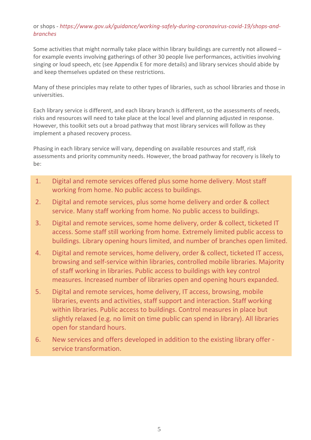# or shops - *[https://www.gov.uk/guidance/working-safely-during-coronavirus-covid-19/shops-and](https://www.gov.uk/guidance/working-safely-during-coronavirus-covid-19/shops-and-branches)[branches](https://www.gov.uk/guidance/working-safely-during-coronavirus-covid-19/shops-and-branches)*

Some activities that might normally take place within library buildings are currently not allowed – for example events involving gatherings of other 30 people live performances, activities involving singing or loud speech, etc (see Appendix E for more details) and library services should abide by and keep themselves updated on these restrictions.

Many of these principles may relate to other types of libraries, such as school libraries and those in universities.

Each library service is different, and each library branch is different, so the assessments of needs, risks and resources will need to take place at the local level and planning adjusted in response. However, this toolkit sets out a broad pathway that most library services will follow as they implement a phased recovery process.

Phasing in each library service will vary, depending on available resources and staff, risk assessments and priority community needs. However, the broad pathway for recovery is likely to be:

- 1. Digital and remote services offered plus some home delivery. Most staff working from home. No public access to buildings.
- 2. Digital and remote services, plus some home delivery and order & collect service. Many staff working from home. No public access to buildings.
- 3. Digital and remote services, some home delivery, order & collect, ticketed IT access. Some staff still working from home. Extremely limited public access to buildings. Library opening hours limited, and number of branches open limited.
- 4. Digital and remote services, home delivery, order & collect, ticketed IT access, browsing and self-service within libraries, controlled mobile libraries. Majority of staff working in libraries. Public access to buildings with key control measures. Increased number of libraries open and opening hours expanded.
- 5. Digital and remote services, home delivery, IT access, browsing, mobile libraries, events and activities, staff support and interaction. Staff working within libraries. Public access to buildings. Control measures in place but slightly relaxed (e.g. no limit on time public can spend in library). All libraries open for standard hours.
- 6. New services and offers developed in addition to the existing library offer service transformation.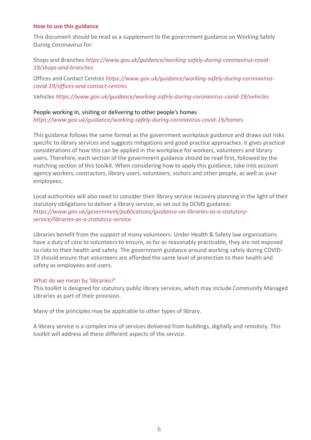#### **How to use this guidance**

This document should be read as a supplement to the government guidance on Working Safely During Coronavirus for:

# Shops and Branches *[https://www.gov.uk/guidance/working-safely-during-coronavirus-covid-](https://www.gov.uk/guidance/working-safely-during-coronavirus-covid-19/shops-and-branches)[19/shops-and-branches](https://www.gov.uk/guidance/working-safely-during-coronavirus-covid-19/shops-and-branches)*

Offices and Contact Centres *[https://www.gov.uk/guidance/working-safely-during-coronavirus](https://www.gov.uk/guidance/working-safely-during-coronavirus-covid-19/offices-and-contact-centres)[covid-19/offices-and-contact-centres](https://www.gov.uk/guidance/working-safely-during-coronavirus-covid-19/offices-and-contact-centres)*

Vehicles *<https://www.gov.uk/guidance/working-safely-during-coronavirus-covid-19/vehicles>*

#### People working in, visiting or delivering to other people's homes

*<https://www.gov.uk/guidance/working-safely-during-coronavirus-covid-19/homes>*

This guidance follows the same format as the government workplace guidance and draws out risks specific to library services and suggests mitigations and good practice approaches. It gives practical considerations of how this can be applied in the workplace for workers, volunteers and library users. Therefore, each section of the government guidance should be read first, followed by the matching section of this toolkit. When considering how to apply this guidance, take into account agency workers, contractors, library users, volunteers, visitors and other people, as well as your employees.

Local authorities will also need to consider their library service recovery planning in the light of their statutory obligations to deliver a library service, as set out by DCMS guidance: *[https://www.gov.uk/government/publications/guidance-on-libraries-as-a-statutory](https://www.gov.uk/government/publications/guidance-on-libraries-as-a-statutory-service/libraries-as-a-statutory-service)[service/libraries-as-a-statutory-service](https://www.gov.uk/government/publications/guidance-on-libraries-as-a-statutory-service/libraries-as-a-statutory-service)*

Libraries benefit from the support of many volunteers. Under Health & Safety law organisations have a duty of care to volunteers to ensure, as far as reasonably practicable, they are not exposed to risks to their health and safety. The government guidance around working safely during COVID-19 should ensure that volunteers are afforded the same level of protection to their health and safety as employees and users.

#### What do we mean by 'libraries?'

This toolkit is designed for statutory public library services, which may include Community Managed Libraries as part of their provision.

Many of the principles may be applicable to other types of library.

A library service is a complex mix of services delivered from buildings, digitally and remotely. This toolkit will address all these different aspects of the service.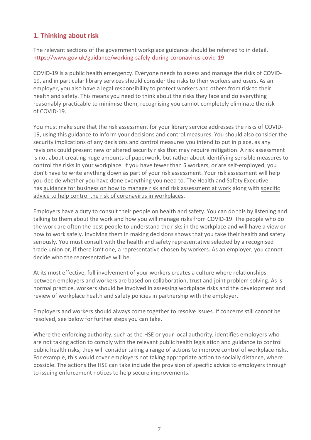# **1. Thinking about risk**

The relevant sections of the government workplace guidance should be referred to in detail. <https://www.gov.uk/guidance/working-safely-during-coronavirus-covid-19>

COVID-19 is a public health emergency. Everyone needs to assess and manage the risks of COVID-19, and in particular library services should consider the risks to their workers and users. As an employer, you also have a legal responsibility to protect workers and others from risk to their health and safety. This means you need to think about the risks they face and do everything reasonably practicable to minimise them, recognising you cannot completely eliminate the risk of COVID-19.

You must make sure that the risk assessment for your library service addresses the risks of COVID-19, using this guidance to inform your decisions and control measures. You should also consider the security implications of any decisions and control measures you intend to put in place, as any revisions could present new or altered security risks that may require mitigation. A risk assessment is not about creating huge amounts of paperwork, but rather about identifying sensible measures to control the risks in your workplace. If you have fewer than 5 workers, or are self-employed, you don't have to write anything down as part of your risk assessment. Your risk assessment will help you decide whether you have done everything you need to. The Health and Safety Executive has [guidance for business on how to manage risk and risk assessment at work](https://www.hse.gov.uk/simple-health-safety/risk/index.htm) along with [specific](https://www.hse.gov.uk/news/working-safely-during-coronavirus-outbreak.htm)  [advice to help control the risk of coronavirus in workplaces.](https://www.hse.gov.uk/news/working-safely-during-coronavirus-outbreak.htm)

Employers have a duty to consult their people on health and safety. You can do this by listening and talking to them about the work and how you will manage risks from COVID-19. The people who do the work are often the best people to understand the risks in the workplace and will have a view on how to work safely. Involving them in making decisions shows that you take their health and safety seriously. You must consult with the health and safety representative selected by a recognised trade union or, if there isn't one, a representative chosen by workers. As an employer, you cannot decide who the representative will be.

At its most effective, full involvement of your workers creates a culture where relationships between employers and workers are based on collaboration, trust and joint problem solving. As is normal practice, workers should be involved in assessing workplace risks and the development and review of workplace health and safety policies in partnership with the employer.

Employers and workers should always come together to resolve issues. If concerns still cannot be resolved, see below for further steps you can take.

Where the enforcing authority, such as the HSE or your local authority, identifies employers who are not taking action to comply with the relevant public health legislation and guidance to control public health risks, they will consider taking a range of actions to improve control of workplace risks. For example, this would cover employers not taking appropriate action to socially distance, where possible. The actions the HSE can take include the provision of specific advice to employers through to issuing enforcement notices to help secure improvements.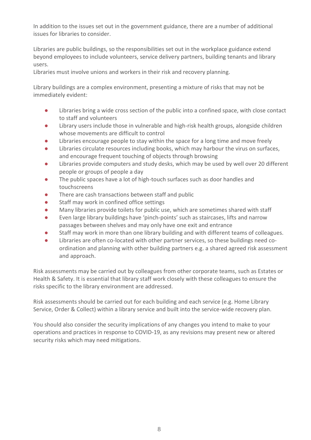In addition to the issues set out in the government guidance, there are a number of additional issues for libraries to consider.

Libraries are public buildings, so the responsibilities set out in the workplace guidance extend beyond employees to include volunteers, service delivery partners, building tenants and library users.

Libraries must involve unions and workers in their risk and recovery planning.

Library buildings are a complex environment, presenting a mixture of risks that may not be immediately evident:

- Libraries bring a wide cross section of the public into a confined space, with close contact to staff and volunteers
- Library users include those in vulnerable and high-risk health groups, alongside children whose movements are difficult to control
- Libraries encourage people to stay within the space for a long time and move freely
- Libraries circulate resources including books, which may harbour the virus on surfaces, and encourage frequent touching of objects through browsing
- Libraries provide computers and study desks, which may be used by well over 20 different people or groups of people a day
- The public spaces have a lot of high-touch surfaces such as door handles and touchscreens
- There are cash transactions between staff and public
- Staff may work in confined office settings
- Many libraries provide toilets for public use, which are sometimes shared with staff
- Even large library buildings have 'pinch-points' such as staircases, lifts and narrow passages between shelves and may only have one exit and entrance
- Staff may work in more than one library building and with different teams of colleagues.
- Libraries are often co-located with other partner services, so these buildings need coordination and planning with other building partners e.g. a shared agreed risk assessment and approach.

Risk assessments may be carried out by colleagues from other corporate teams, such as Estates or Health & Safety. It is essential that library staff work closely with these colleagues to ensure the risks specific to the library environment are addressed.

Risk assessments should be carried out for each building and each service (e.g. Home Library Service, Order & Collect) within a library service and built into the service-wide recovery plan.

You should also consider the security implications of any changes you intend to make to your operations and practices in response to COVID-19, as any revisions may present new or altered security risks which may need mitigations.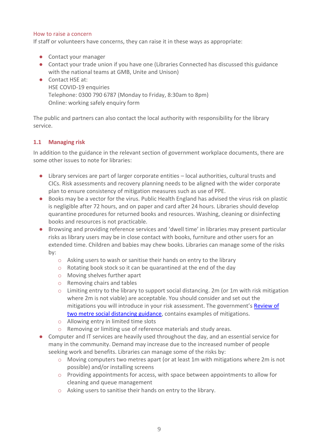#### How to raise a concern

If staff or volunteers have concerns, they can raise it in these ways as appropriate:

- Contact your manager
- Contact your trade union if you have one (Libraries Connected has discussed this guidance with the national teams at GMB, Unite and Unison)
- Contact HSE at: HSE COVID-19 enquiries Telephone: 0300 790 6787 (Monday to Friday, 8:30am to 8pm) Online: working safely enquiry form

The public and partners can also contact the local authority with responsibility for the library service.

#### **1.1 Managing risk**

In addition to the guidance in the relevant section of government workplace documents, there are some other issues to note for libraries:

- Library services are part of larger corporate entities local authorities, cultural trusts and CICs. Risk assessments and recovery planning needs to be aligned with the wider corporate plan to ensure consistency of mitigation measures such as use of PPE.
- Books may be a vector for the virus. Public Health England has advised the virus risk on plastic is negligible after 72 hours, and on paper and card after 24 hours. Libraries should develop quarantine procedures for returned books and resources. Washing, cleaning or disinfecting books and resources is not practicable.
- Browsing and providing reference services and 'dwell time' in libraries may present particular risks as library users may be in close contact with books, furniture and other users for an extended time. Children and babies may chew books. Libraries can manage some of the risks by:
	- o Asking users to wash or sanitise their hands on entry to the library
	- o Rotating book stock so it can be quarantined at the end of the day
	- o Moving shelves further apart
	- o Removing chairs and tables
	- o Limiting entry to the library to support social distancing. 2m (or 1m with risk mitigation where 2m is not viable) are acceptable. You should consider and set out the mitigations you will introduce in your risk assessment. The government's Review of two metre [social distancing guidance,](https://www.gov.uk/government/publications/review-of-two-metre-social-distancing-guidance/review-of-two-metre-social-distancing-guidance#fn:2) contains examples of mitigations.
	- o Allowing entry in limited time slots
	- o Removing or limiting use of reference materials and study areas.
- Computer and IT services are heavily used throughout the day, and an essential service for many in the community. Demand may increase due to the increased number of people seeking work and benefits. Libraries can manage some of the risks by:
	- o Moving computers two metres apart (or at least 1m with mitigations where 2m is not possible) and/or installing screens
	- o Providing appointments for access, with space between appointments to allow for cleaning and queue management
	- o Asking users to sanitise their hands on entry to the library.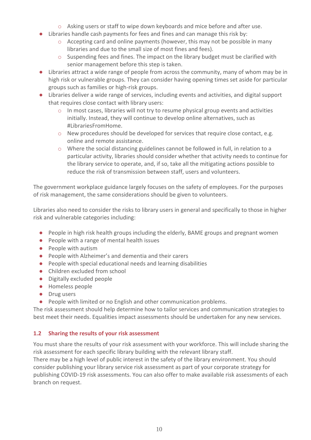- $\circ$  Asking users or staff to wipe down keyboards and mice before and after use.
- Libraries handle cash payments for fees and fines and can manage this risk by:
	- o Accepting card and online payments (however, this may not be possible in many libraries and due to the small size of most fines and fees).
	- o Suspending fees and fines. The impact on the library budget must be clarified with senior management before this step is taken.
- Libraries attract a wide range of people from across the community, many of whom may be in high risk or vulnerable groups. They can consider having opening times set aside for particular groups such as families or high-risk groups.
- Libraries deliver a wide range of services, including events and activities, and digital support that requires close contact with library users:
	- o In most cases, libraries will not try to resume physical group events and activities initially. Instead, they will continue to develop online alternatives, such as #LibrariesFromHome.
	- $\circ$  New procedures should be developed for services that require close contact, e.g. online and remote assistance.
	- o Where the social distancing guidelines cannot be followed in full, in relation to a particular activity, libraries should consider whether that activity needs to continue for the library service to operate, and, if so, take all the mitigating actions possible to reduce the risk of transmission between staff, users and volunteers.

The government workplace guidance largely focuses on the safety of employees. For the purposes of risk management, the same considerations should be given to volunteers.

Libraries also need to consider the risks to library users in general and specifically to those in higher risk and vulnerable categories including:

- People in high risk health groups including the elderly, BAME groups and pregnant women
- People with a range of mental health issues
- People with autism
- People with Alzheimer's and dementia and their carers
- People with special educational needs and learning disabilities
- Children excluded from school
- Digitally excluded people
- Homeless people
- Drug users
- People with limited or no English and other communication problems.

The risk assessment should help determine how to tailor services and communication strategies to best meet their needs. Equalities impact assessments should be undertaken for any new services.

#### **1.2 Sharing the results of your risk assessment**

You must share the results of your risk assessment with your workforce. This will include sharing the risk assessment for each specific library building with the relevant library staff.

There may be a high level of public interest in the safety of the library environment. You should consider publishing your library service risk assessment as part of your corporate strategy for publishing COVID-19 risk assessments. You can also offer to make available risk assessments of each branch on request.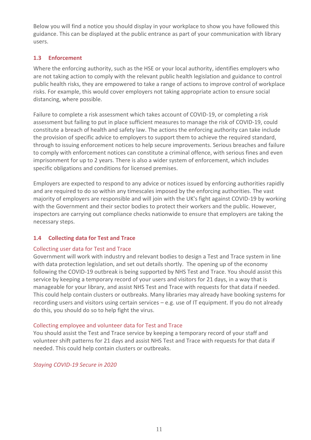Below you will find a notice you should display in your workplace to show you have followed this guidance. This can be displayed at the public entrance as part of your communication with library users.

# **1.3 Enforcement**

Where the enforcing authority, such as the HSE or your local authority, identifies employers who are not taking action to comply with the relevant public health legislation and guidance to control public health risks, they are empowered to take a range of actions to improve control of workplace risks. For example, this would cover employers not taking appropriate action to ensure social distancing, where possible.

Failure to complete a risk assessment which takes account of COVID-19, or completing a risk assessment but failing to put in place sufficient measures to manage the risk of COVID-19, could constitute a breach of health and safety law. The actions the enforcing authority can take include the provision of specific advice to employers to support them to achieve the required standard, through to issuing enforcement notices to help secure improvements. Serious breaches and failure to comply with enforcement notices can constitute a criminal offence, with serious fines and even imprisonment for up to 2 years. There is also a wider system of enforcement, which includes specific obligations and conditions for licensed premises.

Employers are expected to respond to any advice or notices issued by enforcing authorities rapidly and are required to do so within any timescales imposed by the enforcing authorities. The vast majority of employers are responsible and will join with the UK's fight against COVID-19 by working with the Government and their sector bodies to protect their workers and the public. However, inspectors are carrying out compliance checks nationwide to ensure that employers are taking the necessary steps.

#### **1.4 Collecting data for Test and Trace**

#### Collecting user data for Test and Trace

Government will work with industry and relevant bodies to design a Test and Trace system in line with data protection legislation, and set out details shortly. The opening up of the economy following the COVID-19 outbreak is being supported by NHS Test and Trace. You should assist this service by keeping a temporary record of your users and visitors for 21 days, in a way that is manageable for your library, and assist NHS Test and Trace with requests for that data if needed. This could help contain clusters or outbreaks. Many libraries may already have booking systems for recording users and visitors using certain services – e.g. use of IT equipment. If you do not already do this, you should do so to help fight the virus.

#### Collecting employee and volunteer data for Test and Trace

You should assist the Test and Trace service by keeping a temporary record of your staff and volunteer shift patterns for 21 days and assist NHS Test and Trace with requests for that data if needed. This could help contain clusters or outbreaks.

#### *[Staying COVID-19 Secure in 2020](https://assets.publishing.service.gov.uk/media/5eb97d30d3bf7f5d364bfbb6/staying-covid-19-secure.pdf)*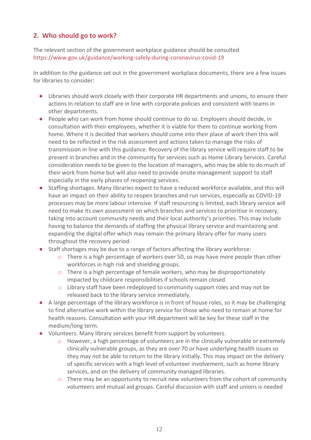# **2. Who should go to work?**

The relevant section of the government workplace guidance should be consulted <https://www.gov.uk/guidance/working-safely-during-coronavirus-covid-19>

In addition to the guidance set out in the government workplace documents, there are a few issues for libraries to consider:

- Libraries should work closely with their corporate HR departments and unions, to ensure their actions in relation to staff are in line with corporate policies and consistent with teams in other departments.
- People who can work from home should continue to do so. Employers should decide, in consultation with their employees, whether it is viable for them to continue working from home. Where it is decided that workers should come into their place of work then this will need to be reflected in the risk assessment and actions taken to manage the risks of transmission in line with this guidance. Recovery of the library service will require staff to be present in branches and in the community for services such as Home Library Services. Careful consideration needs to be given to the location of managers, who may be able to do much of their work from home but will also need to provide onsite management support to staff especially in the early phases of reopening services.
- Staffing shortages. Many libraries expect to have a reduced workforce available, and this will have an impact on their ability to reopen branches and run services, especially as COVID-19 processes may be more labour intensive. If staff resourcing is limited, each library service will need to make its own assessment on which branches and services to prioritise in recovery, taking into account community needs and their local authority's priorities. This may include having to balance the demands of staffing the physical library service and maintaining and expanding the digital offer which may remain the primary library offer for many users throughout the recovery period.
- Staff shortages may be due to a range of factors affecting the library workforce:
	- o There is a high percentage of workers over 50, so may have more people than other workforces in high risk and shielding groups.
	- o There is a high percentage of female workers, who may be disproportionately impacted by childcare responsibilities if schools remain closed.
	- o Library staff have been redeployed to community support roles and may not be released back to the library service immediately.
- A large percentage of the library workforce is in front of house roles, so it may be challenging to find alternative work within the library service for those who need to remain at home for health reasons. Consultation with your HR department will be key for these staff in the medium/long term.
- Volunteers. Many library services benefit from support by volunteers.
	- o However, a high percentage of volunteers are in the clinically vulnerable or extremely clinically vulnerable groups, as they are over 70 or have underlying health issues so they may not be able to return to the library initially. This may impact on the delivery of specific services with a high level of volunteer involvement, such as home library services, and on the delivery of community managed libraries.
	- $\circ$  There may be an opportunity to recruit new volunteers from the cohort of community volunteers and mutual aid groups. Careful discussion with staff and unions is needed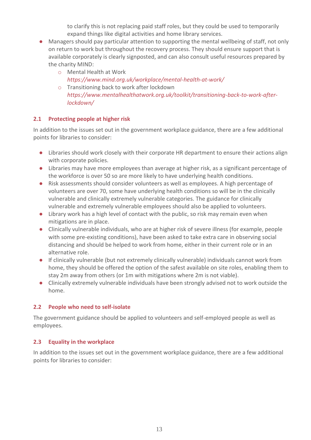to clarify this is not replacing paid staff roles, but they could be used to temporarily expand things like digital activities and home library services.

- Managers should pay particular attention to supporting the mental wellbeing of staff, not only on return to work but throughout the recovery process. They should ensure support that is available corporately is clearly signposted, and can also consult useful resources prepared by the charity MIND:
	- o Mental Health at Work *<https://www.mind.org.uk/workplace/mental-health-at-work/>*
	- o Transitioning back to work after lockdown *[https://www.mentalhealthatwork.org.uk/toolkit/transitioning-back-to-work-after](https://www.mentalhealthatwork.org.uk/toolkit/transitioning-back-to-work-after-lockdown/)[lockdown/](https://www.mentalhealthatwork.org.uk/toolkit/transitioning-back-to-work-after-lockdown/)*

# **2.1 Protecting people at higher risk**

In addition to the issues set out in the government workplace guidance, there are a few additional points for libraries to consider:

- Libraries should work closely with their corporate HR department to ensure their actions align with corporate policies.
- Libraries may have more employees than average at higher risk, as a significant percentage of the workforce is over 50 so are more likely to have underlying health conditions.
- Risk assessments should consider volunteers as well as employees. A high percentage of volunteers are over 70, some have underlying health conditions so will be in the clinically vulnerable and clinically extremely vulnerable categories. The guidance for clinically vulnerable and extremely vulnerable employees should also be applied to volunteers.
- Library work has a high level of contact with the public, so risk may remain even when mitigations are in place.
- Clinically vulnerable individuals, who are at higher risk of severe illness (for example, people with some pre-existing conditions), have been asked to take extra care in observing social distancing and should be helped to work from home, either in their current role or in an alternative role.
- If clinically vulnerable (but not extremely clinically vulnerable) individuals cannot work from home, they should be offered the option of the safest available on site roles, enabling them to stay 2m away from others (or 1m with mitigations where 2m is not viable).
- Clinically extremely vulnerable individuals have been strongly advised not to work outside the home.

#### **2.2 People who need to self-isolate**

The government guidance should be applied to volunteers and self-employed people as well as employees.

#### **2.3 Equality in the workplace**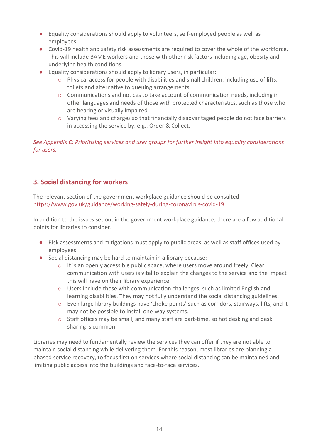- Equality considerations should apply to volunteers, self-employed people as well as employees.
- Covid-19 health and safety risk assessments are required to cover the whole of the workforce. This will include BAME workers and those with other risk factors including age, obesity and underlying health conditions.
- Equality considerations should apply to library users, in particular:
	- o Physical access for people with disabilities and small children, including use of lifts, toilets and alternative to queuing arrangements
	- $\circ$  Communications and notices to take account of communication needs, including in other languages and needs of those with protected characteristics, such as those who are hearing or visually impaired
	- o Varying fees and charges so that financially disadvantaged people do not face barriers in accessing the service by, e.g., Order & Collect.

*See Appendix C: Prioritising services and user groups for further insight into equality considerations for users.*

# **3. Social distancing for workers**

The relevant section of the government workplace guidance should be consulted <https://www.gov.uk/guidance/working-safely-during-coronavirus-covid-19>

In addition to the issues set out in the government workplace guidance, there are a few additional points for libraries to consider.

- Risk assessments and mitigations must apply to public areas, as well as staff offices used by employees.
- Social distancing may be hard to maintain in a library because:
	- o It is an openly accessible public space, where users move around freely. Clear communication with users is vital to explain the changes to the service and the impact this will have on their library experience.
	- o Users include those with communication challenges, such as limited English and learning disabilities. They may not fully understand the social distancing guidelines.
	- o Even large library buildings have 'choke points' such as corridors, stairways, lifts, and it may not be possible to install one-way systems.
	- $\circ$  Staff offices may be small, and many staff are part-time, so hot desking and desk sharing is common.

Libraries may need to fundamentally review the services they can offer if they are not able to maintain social distancing while delivering them. For this reason, most libraries are planning a phased service recovery, to focus first on services where social distancing can be maintained and limiting public access into the buildings and face-to-face services.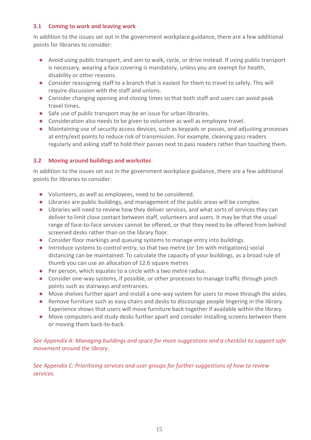#### **3.1 Coming to work and leaving work**

In addition to the issues set out in the government workplace guidance, there are a few additional points for libraries to consider:

- Avoid using public transport, and aim to walk, cycle, or drive instead. If using public transport is necessary, wearing a face covering is mandatory, unless you are exempt for health, disability or other reasons.
- Consider reassigning staff to a branch that is easiest for them to travel to safely. This will require discussion with the staff and unions.
- Consider changing opening and closing times so that both staff and users can avoid peak travel times.
- Safe use of public transport may be an issue for urban libraries.
- Consideration also needs to be given to volunteer as well as employee travel.
- Maintaining use of security access devices, such as keypads or passes, and adjusting processes at entry/exit points to reduce risk of transmission. For example, cleaning pass readers regularly and asking staff to hold their passes next to pass readers rather than touching them.

#### **3.2 Moving around buildings and worksites**

In addition to the issues set out in the government workplace guidance, there are a few additional points for libraries to consider:

- Volunteers, as well as employees, need to be considered.
- Libraries are public buildings, and management of the public areas will be complex.
- Libraries will need to review how they deliver services, and what sorts of services they can deliver to limit close contact between staff, volunteers and users. It may be that the usual range of face-to-face services cannot be offered, or that they need to be offered from behind screened desks rather than on the library floor.
- Consider floor markings and queuing systems to manage entry into buildings.
- Introduce systems to control entry, so that two metre (or 1m with mitigations) social distancing can be maintained. To calculate the capacity of your buildings, as a broad rule of thumb you can use an allocation of 12.6 square metres
- Per person, which equates to a circle with a two metre radius.
- Consider one-way systems, if possible, or other processes to manage traffic through pinch points such as stairways and entrances.
- Move shelves further apart and install a one-way system for users to move through the aisles.
- Remove furniture such as easy chairs and desks to discourage people lingering in the library. Experience shows that users will move furniture back together if available within the library.
- Move computers and study desks further apart and consider installing screens between them or moving them back-to-back.

*See Appendix A: Managing buildings and space for more suggestions and a checklist to support safe movement around the library.*

*See Appendix C: Prioritising services and user groups for further suggestions of how to review services.*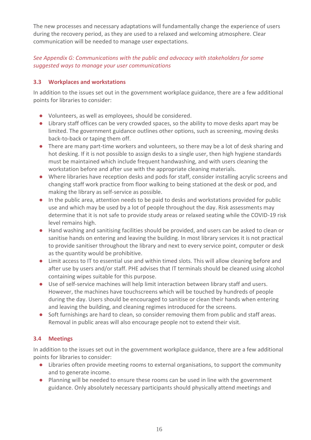The new processes and necessary adaptations will fundamentally change the experience of users during the recovery period, as they are used to a relaxed and welcoming atmosphere. Clear communication will be needed to manage user expectations.

*See Appendix G: Communications with the public and advocacy with stakeholders for some suggested ways to manage your user communications*

# **3.3 Workplaces and workstations**

In addition to the issues set out in the government workplace guidance, there are a few additional points for libraries to consider:

- Volunteers, as well as employees, should be considered.
- Library staff offices can be very crowded spaces, so the ability to move desks apart may be limited. The government guidance outlines other options, such as screening, moving desks back-to-back or taping them off.
- There are many part-time workers and volunteers, so there may be a lot of desk sharing and hot desking. If it is not possible to assign desks to a single user, then high hygiene standards must be maintained which include frequent handwashing, and with users cleaning the workstation before and after use with the appropriate cleaning materials.
- Where libraries have reception desks and pods for staff, consider installing acrylic screens and changing staff work practice from floor walking to being stationed at the desk or pod, and making the library as self-service as possible.
- In the public area, attention needs to be paid to desks and workstations provided for public use and which may be used by a lot of people throughout the day. Risk assessments may determine that it is not safe to provide study areas or relaxed seating while the COVID-19 risk level remains high.
- Hand washing and sanitising facilities should be provided, and users can be asked to clean or sanitise hands on entering and leaving the building. In most library services it is not practical to provide sanitiser throughout the library and next to every service point, computer or desk as the quantity would be prohibitive.
- Limit access to IT to essential use and within timed slots. This will allow cleaning before and after use by users and/or staff. PHE advises that IT terminals should be cleaned using alcohol containing wipes suitable for this purpose.
- Use of self-service machines will help limit interaction between library staff and users. However, the machines have touchscreens which will be touched by hundreds of people during the day. Users should be encouraged to sanitise or clean their hands when entering and leaving the building, and cleaning regimes introduced for the screens.
- Soft furnishings are hard to clean, so consider removing them from public and staff areas. Removal in public areas will also encourage people not to extend their visit.

# **3.4 Meetings**

- Libraries often provide meeting rooms to external organisations, to support the community and to generate income.
- Planning will be needed to ensure these rooms can be used in line with the government guidance. Only absolutely necessary participants should physically attend meetings and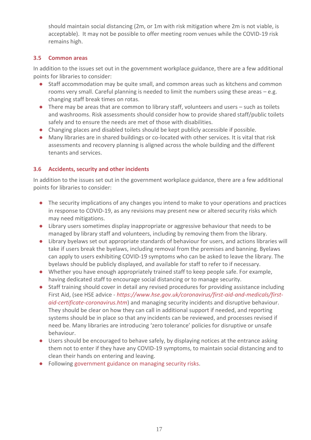should maintain social distancing (2m, or 1m with risk mitigation where 2m is not viable, is acceptable). It may not be possible to offer meeting room venues while the COVID-19 risk remains high.

# **3.5 Common areas**

In addition to the issues set out in the government workplace guidance, there are a few additional points for libraries to consider:

- Staff accommodation may be quite small, and common areas such as kitchens and common rooms very small. Careful planning is needed to limit the numbers using these areas – e.g. changing staff break times on rotas.
- There may be areas that are common to library staff, volunteers and users such as toilets and washrooms. Risk assessments should consider how to provide shared staff/public toilets safely and to ensure the needs are met of those with disabilities.
- Changing places and disabled toilets should be kept publicly accessible if possible.
- Many libraries are in shared buildings or co-located with other services. It is vital that risk assessments and recovery planning is aligned across the whole building and the different tenants and services.

# **3.6 Accidents, security and other incidents**

- The security implications of any changes you intend to make to your operations and practices in response to COVID-19, as any revisions may present new or altered security risks which may need mitigations.
- Library users sometimes display inappropriate or aggressive behaviour that needs to be managed by library staff and volunteers, including by removing them from the library.
- Library byelaws set out appropriate standards of behaviour for users, and actions libraries will take if users break the byelaws, including removal from the premises and banning. Byelaws can apply to users exhibiting COVID-19 symptoms who can be asked to leave the library. The byelaws should be publicly displayed, and available for staff to refer to if necessary.
- Whether you have enough appropriately trained staff to keep people safe. For example, having dedicated staff to encourage social distancing or to manage security.
- Staff training should cover in detail any revised procedures for providing assistance including First Aid, (see HSE advice - *[https://www.hse.gov.uk/coronavirus/first-aid-and-medicals/first](https://www.hse.gov.uk/coronavirus/first-aid-and-medicals/first-aid-certificate-coronavirus.htm)[aid-certificate-coronavirus.htm](https://www.hse.gov.uk/coronavirus/first-aid-and-medicals/first-aid-certificate-coronavirus.htm)*) and managing security incidents and disruptive behaviour. They should be clear on how they can call in additional support if needed, and reporting systems should be in place so that any incidents can be reviewed, and processes revised if need be. Many libraries are introducing 'zero tolerance' policies for disruptive or unsafe behaviour.
- Users should be encouraged to behave safely, by displaying notices at the entrance asking them not to enter if they have any COVID-19 symptoms, to maintain social distancing and to clean their hands on entering and leaving.
- Following [government guidance on managing security risks.](https://www.cpni.gov.uk/staying-secure-during-covid-19-0)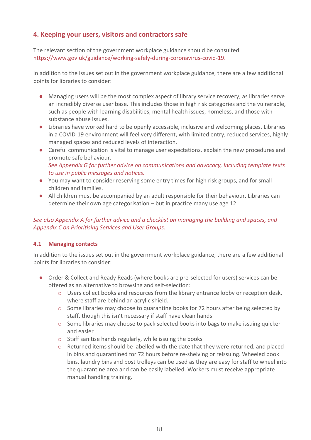# **4. Keeping your users, visitors and contractors safe**

The relevant section of the government workplace guidance should be consulted [https://www.gov.uk/guidance/working-safely-during-coronavirus-covid-19.](https://www.gov.uk/guidance/working-safely-during-coronavirus-covid-19)

In addition to the issues set out in the government workplace guidance, there are a few additional points for libraries to consider:

- Managing users will be the most complex aspect of library service recovery, as libraries serve an incredibly diverse user base. This includes those in high risk categories and the vulnerable, such as people with learning disabilities, mental health issues, homeless, and those with substance abuse issues.
- Libraries have worked hard to be openly accessible, inclusive and welcoming places. Libraries in a COVID-19 environment will feel very different, with limited entry, reduced services, highly managed spaces and reduced levels of interaction.
- Careful communication is vital to manage user expectations, explain the new procedures and promote safe behaviour. *See Appendix G for further advice on communications and advocacy, including template texts to use in public messages and notices.*
- You may want to consider reserving some entry times for high risk groups, and for small children and families.
- All children must be accompanied by an adult responsible for their behaviour. Libraries can determine their own age categorisation – but in practice many use age 12.

# *See also Appendix A for further advice and a checklist on managing the building and spaces, and Appendix C on Prioritising Services and User Groups.*

#### **4.1 Managing contacts**

- Order & Collect and Ready Reads (where books are pre-selected for users) services can be offered as an alternative to browsing and self-selection:
	- o Users collect books and resources from the library entrance lobby or reception desk, where staff are behind an acrylic shield.
	- o Some libraries may choose to quarantine books for 72 hours after being selected by staff, though this isn't necessary if staff have clean hands
	- o Some libraries may choose to pack selected books into bags to make issuing quicker and easier
	- o Staff sanitise hands regularly, while issuing the books
	- $\circ$  Returned items should be labelled with the date that they were returned, and placed in bins and quarantined for 72 hours before re-shelving or reissuing. Wheeled book bins, laundry bins and post trolleys can be used as they are easy for staff to wheel into the quarantine area and can be easily labelled. Workers must receive appropriate manual handling training.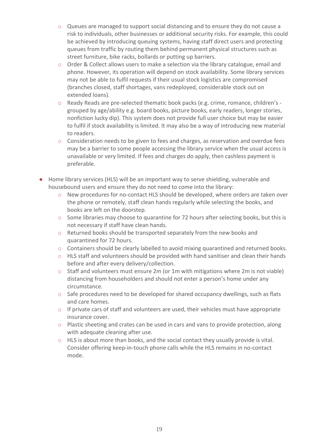- $\circ$  Queues are managed to support social distancing and to ensure they do not cause a risk to individuals, other businesses or additional security risks. For example, this could be achieved by introducing queuing systems, having staff direct users and protecting queues from traffic by routing them behind permanent physical structures such as street furniture, bike racks, bollards or putting up barriers.
- $\circ$  Order & Collect allows users to make a selection via the library catalogue, email and phone. However, its operation will depend on stock availability. Some library services may not be able to fulfil requests if their usual stock logistics are compromised (branches closed, staff shortages, vans redeployed, considerable stock out on extended loans).
- o Ready Reads are pre-selected thematic book packs (e.g. crime, romance, children's grouped by age/ability e.g. board books, picture books, early readers, longer stories, nonfiction lucky dip). This system does not provide full user choice but may be easier to fulfil if stock availability is limited. It may also be a way of introducing new material to readers.
- o Consideration needs to be given to fees and charges, as reservation and overdue fees may be a barrier to some people accessing the library service when the usual access is unavailable or very limited. If fees and charges do apply, then cashless payment is preferable.
- Home library services (HLS) will be an important way to serve shielding, vulnerable and housebound users and ensure they do not need to come into the library:
	- o New procedures for no-contact HLS should be developed, where orders are taken over the phone or remotely, staff clean hands regularly while selecting the books, and books are left on the doorstep.
	- o Some libraries may choose to quarantine for 72 hours after selecting books, but this is not necessary if staff have clean hands.
	- o Returned books should be transported separately from the new books and quarantined for 72 hours.
	- o Containers should be clearly labelled to avoid mixing quarantined and returned books.
	- $\circ$  HLS staff and volunteers should be provided with hand sanitiser and clean their hands before and after every delivery/collection.
	- o Staff and volunteers must ensure 2m (or 1m with mitigations where 2m is not viable) distancing from householders and should not enter a person's home under any circumstance.
	- o Safe procedures need to be developed for shared occupancy dwellings, such as flats and care homes.
	- $\circ$  If private cars of staff and volunteers are used, their vehicles must have appropriate insurance cover.
	- o Plastic sheeting and crates can be used in cars and vans to provide protection, along with adequate cleaning after use.
	- o HLS is about more than books, and the social contact they usually provide is vital. Consider offering keep-in-touch phone calls while the HLS remains in no-contact mode.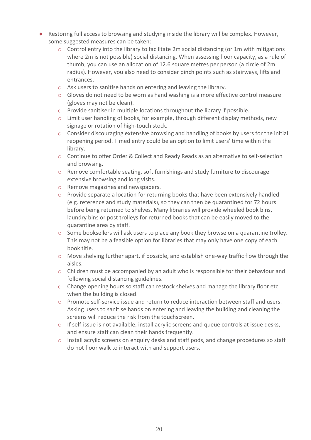- Restoring full access to browsing and studying inside the library will be complex. However, some suggested measures can be taken:
	- $\circ$  Control entry into the library to facilitate 2m social distancing (or 1m with mitigations where 2m is not possible) social distancing. When assessing floor capacity, as a rule of thumb, you can use an allocation of 12.6 square metres per person (a circle of 2m radius). However, you also need to consider pinch points such as stairways, lifts and entrances.
	- o Ask users to sanitise hands on entering and leaving the library.
	- $\circ$  Gloves do not need to be worn as hand washing is a more effective control measure (gloves may not be clean).
	- o Provide sanitiser in multiple locations throughout the library if possible.
	- o Limit user handling of books, for example, through different display methods, new signage or rotation of high-touch stock.
	- o Consider discouraging extensive browsing and handling of books by users for the initial reopening period. Timed entry could be an option to limit users' time within the library.
	- o Continue to offer Order & Collect and Ready Reads as an alternative to self-selection and browsing.
	- o Remove comfortable seating, soft furnishings and study furniture to discourage extensive browsing and long visits.
	- o Remove magazines and newspapers.
	- $\circ$  Provide separate a location for returning books that have been extensively handled (e.g. reference and study materials), so they can then be quarantined for 72 hours before being returned to shelves. Many libraries will provide wheeled book bins, laundry bins or post trolleys for returned books that can be easily moved to the quarantine area by staff.
	- $\circ$  Some booksellers will ask users to place any book they browse on a quarantine trolley. This may not be a feasible option for libraries that may only have one copy of each book title.
	- o Move shelving further apart, if possible, and establish one-way traffic flow through the aisles.
	- o Children must be accompanied by an adult who is responsible for their behaviour and following social distancing guidelines.
	- o Change opening hours so staff can restock shelves and manage the library floor etc. when the building is closed.
	- o Promote self-service issue and return to reduce interaction between staff and users. Asking users to sanitise hands on entering and leaving the building and cleaning the screens will reduce the risk from the touchscreen.
	- $\circ$  If self-issue is not available, install acrylic screens and queue controls at issue desks, and ensure staff can clean their hands frequently.
	- o Install acrylic screens on enquiry desks and staff pods, and change procedures so staff do not floor walk to interact with and support users.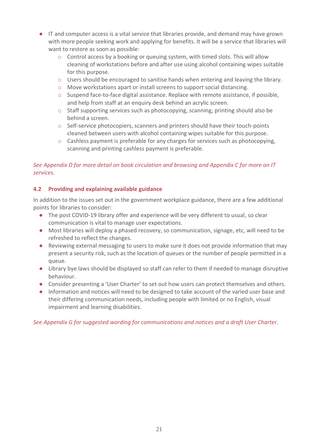- IT and computer access is a vital service that libraries provide, and demand may have grown with more people seeking work and applying for benefits. It will be a service that libraries will want to restore as soon as possible:
	- $\circ$  Control access by a booking or queuing system, with timed slots. This will allow cleaning of workstations before and after use using alcohol containing wipes suitable for this purpose.
	- o Users should be encouraged to sanitise hands when entering and leaving the library.
	- o Move workstations apart or install screens to support social distancing.
	- $\circ$  Suspend face-to-face digital assistance. Replace with remote assistance, if possible, and help from staff at an enquiry desk behind an acrylic screen.
	- o Staff supporting services such as photocopying, scanning, printing should also be behind a screen.
	- o Self-service photocopiers, scanners and printers should have their touch-points cleaned between users with alcohol containing wipes suitable for this purpose.
	- $\circ$  Cashless payment is preferable for any charges for services such as photocopying, scanning and printing cashless payment is preferable.

# *See Appendix D for more detail on book circulation and browsing and Appendix C for more on IT services.*

#### **4.2 Providing and explaining available guidance**

In addition to the issues set out in the government workplace guidance, there are a few additional points for libraries to consider:

- The post COVID-19 library offer and experience will be very different to usual, so clear communication is vital to manage user expectations.
- Most libraries will deploy a phased recovery, so communication, signage, etc, will need to be refreshed to reflect the changes.
- Reviewing external messaging to users to make sure it does not provide information that may present a security risk, such as the location of queues or the number of people permitted in a queue.
- Library bye laws should be displayed so staff can refer to them if needed to manage disruptive behaviour.
- Consider presenting a 'User Charter' to set out how users can protect themselves and others.
- Information and notices will need to be designed to take account of the varied user base and their differing communication needs, including people with limited or no English, visual impairment and learning disabilities.

*See Appendix G for suggested wording for communications and notices and a draft User Charter*.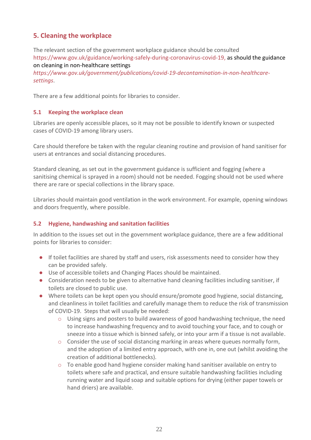# **5. Cleaning the workplace**

The relevant section of the government workplace guidance should be consulted [https://www.gov.uk/guidance/working-safely-during-coronavirus-covid-19,](https://www.gov.uk/guidance/working-safely-during-coronavirus-covid-19) as should the guidance on cleaning in non-healthcare settings

*[https://www.gov.uk/government/publications/covid-19-decontamination-in-non-healthcare](https://www.gov.uk/government/publications/covid-19-decontamination-in-non-healthcare-settings)[settings](https://www.gov.uk/government/publications/covid-19-decontamination-in-non-healthcare-settings)*.

There are a few additional points for libraries to consider.

# **5.1 Keeping the workplace clean**

Libraries are openly accessible places, so it may not be possible to identify known or suspected cases of COVID-19 among library users.

Care should therefore be taken with the regular cleaning routine and provision of hand sanitiser for users at entrances and social distancing procedures.

Standard cleaning, as set out in the government guidance is sufficient and fogging (where a sanitising chemical is sprayed in a room) should not be needed. Fogging should not be used where there are rare or special collections in the library space.

Libraries should maintain good ventilation in the work environment. For example, opening windows and doors frequently, where possible.

# **5.2 Hygiene, handwashing and sanitation facilities**

- If toilet facilities are shared by staff and users, risk assessments need to consider how they can be provided safely.
- Use of accessible toilets and Changing Places should be maintained.
- Consideration needs to be given to alternative hand cleaning facilities including sanitiser, if toilets are closed to public use.
- Where toilets can be kept open you should ensure/promote good hygiene, social distancing, and cleanliness in toilet facilities and carefully manage them to reduce the risk of transmission of COVID-19. Steps that will usually be needed:
	- o Using signs and posters to build awareness of good handwashing technique, the need to increase handwashing frequency and to avoid touching your face, and to cough or sneeze into a tissue which is binned safely, or into your arm if a tissue is not available.
	- $\circ$  Consider the use of social distancing marking in areas where queues normally form, and the adoption of a limited entry approach, with one in, one out (whilst avoiding the creation of additional bottlenecks).
	- $\circ$  To enable good hand hygiene consider making hand sanitiser available on entry to toilets where safe and practical, and ensure suitable handwashing facilities including running water and liquid soap and suitable options for drying (either paper towels or hand driers) are available.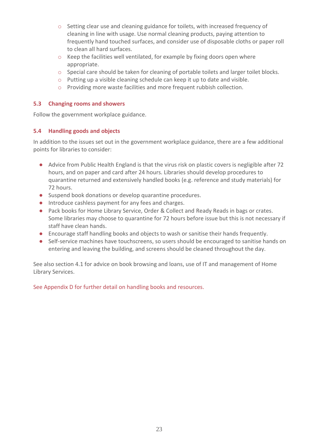- $\circ$  Setting clear use and cleaning guidance for toilets, with increased frequency of cleaning in line with usage. Use normal cleaning products, paying attention to frequently hand touched surfaces, and consider use of disposable cloths or paper roll to clean all hard surfaces.
- o Keep the facilities well ventilated, for example by fixing doors open where appropriate.
- o Special care should be taken for cleaning of portable toilets and larger toilet blocks.
- o Putting up a visible cleaning schedule can keep it up to date and visible.
- o Providing more waste facilities and more frequent rubbish collection.

#### **5.3 Changing rooms and showers**

Follow the government workplace guidance.

#### **5.4 Handling goods and objects**

In addition to the issues set out in the government workplace guidance, there are a few additional points for libraries to consider:

- Advice from Public Health England is that the virus risk on plastic covers is negligible after 72 hours, and on paper and card after 24 hours. Libraries should develop procedures to quarantine returned and extensively handled books (e.g. reference and study materials) for 72 hours.
- Suspend book donations or develop quarantine procedures.
- Introduce cashless payment for any fees and charges.
- Pack books for Home Library Service, Order & Collect and Ready Reads in bags or crates. Some libraries may choose to quarantine for 72 hours before issue but this is not necessary if staff have clean hands.
- Encourage staff handling books and objects to wash or sanitise their hands frequently.
- Self-service machines have touchscreens, so users should be encouraged to sanitise hands on entering and leaving the building, and screens should be cleaned throughout the day.

See also section 4.1 for advice on book browsing and loans, use of IT and management of Home Library Services.

See Appendix D for further detail on handling books and resources.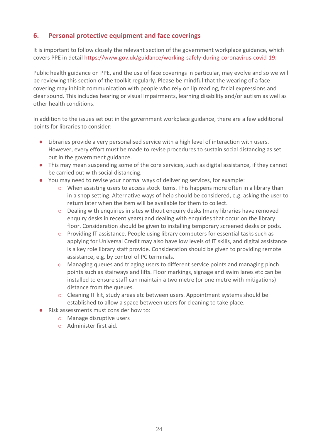# **6. Personal protective equipment and face coverings**

It is important to follow closely the relevant section of the government workplace guidance, which covers PPE in detail [https://www.gov.uk/guidance/working-safely-during-coronavirus-covid-19.](https://www.gov.uk/guidance/working-safely-during-coronavirus-covid-19)

Public health guidance on PPE, and the use of face coverings in particular, may evolve and so we will be reviewing this section of the toolkit regularly. Please be mindful that the wearing of a face covering may inhibit communication with people who rely on lip reading, facial expressions and clear sound. This includes hearing or visual impairments, learning disability and/or autism as well as other health conditions.

- Libraries provide a very personalised service with a high level of interaction with users. However, every effort must be made to revise procedures to sustain social distancing as set out in the government guidance.
- This may mean suspending some of the core services, such as digital assistance, if they cannot be carried out with social distancing.
- You may need to revise your normal ways of delivering services, for example:
	- $\circ$  When assisting users to access stock items. This happens more often in a library than in a shop setting. Alternative ways of help should be considered, e.g. asking the user to return later when the item will be available for them to collect.
	- $\circ$  Dealing with enquiries in sites without enquiry desks (many libraries have removed enquiry desks in recent years) and dealing with enquiries that occur on the library floor. Consideration should be given to installing temporary screened desks or pods.
	- o Providing IT assistance. People using library computers for essential tasks such as applying for Universal Credit may also have low levels of IT skills, and digital assistance is a key role library staff provide. Consideration should be given to providing remote assistance, e.g. by control of PC terminals.
	- o Managing queues and triaging users to different service points and managing pinch points such as stairways and lifts. Floor markings, signage and swim lanes etc can be installed to ensure staff can maintain a two metre (or one metre with mitigations) distance from the queues.
	- o Cleaning IT kit, study areas etc between users. Appointment systems should be established to allow a space between users for cleaning to take place.
- Risk assessments must consider how to:
	- o Manage disruptive users
	- o Administer first aid.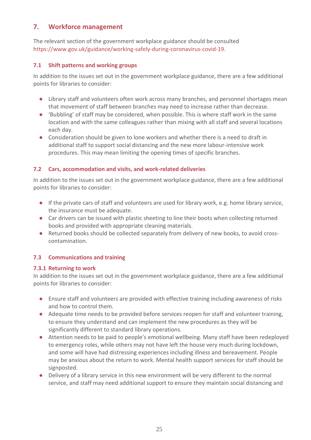# **7. Workforce management**

The relevant section of the government workplace guidance should be consulted [https://www.gov.uk/guidance/working-safely-during-coronavirus-covid-19.](https://www.gov.uk/guidance/working-safely-during-coronavirus-covid-19)

# **7.1 Shift patterns and working groups**

In addition to the issues set out in the government workplace guidance, there are a few additional points for libraries to consider:

- Library staff and volunteers often work across many branches, and personnel shortages mean that movement of staff between branches may need to increase rather than decrease.
- 'Bubbling' of staff may be considered, when possible. This is where staff work in the same location and with the same colleagues rather than mixing with all staff and several locations each day.
- Consideration should be given to lone workers and whether there is a need to draft in additional staff to support social distancing and the new more labour-intensive work procedures. This may mean limiting the opening times of specific branches.

# **7.2 Cars, accommodation and visits, and work-related deliveries**

In addition to the issues set out in the government workplace guidance, there are a few additional points for libraries to consider:

- If the private cars of staff and volunteers are used for library work, e.g. home library service, the insurance must be adequate.
- Car drivers can be issued with plastic sheeting to line their boots when collecting returned books and provided with appropriate cleaning materials.
- Returned books should be collected separately from delivery of new books, to avoid crosscontamination.

# **7.3 Communications and training**

#### **7.3.1 Returning to work**

- Ensure staff and volunteers are provided with effective training including awareness of risks and how to control them.
- Adequate time needs to be provided before services reopen for staff and volunteer training, to ensure they understand and can implement the new procedures as they will be significantly different to standard library operations.
- Attention needs to be paid to people's emotional wellbeing. Many staff have been redeployed to emergency roles, while others may not have left the house very much during lockdown, and some will have had distressing experiences including illness and bereavement. People may be anxious about the return to work. Mental health support services for staff should be signposted.
- Delivery of a library service in this new environment will be very different to the normal service, and staff may need additional support to ensure they maintain social distancing and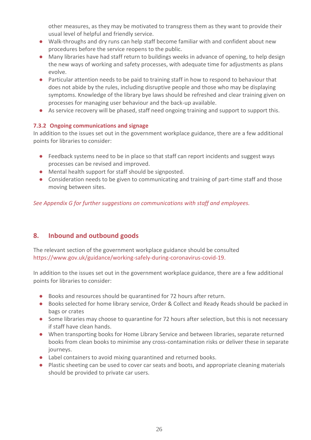other measures, as they may be motivated to transgress them as they want to provide their usual level of helpful and friendly service.

- Walk-throughs and dry runs can help staff become familiar with and confident about new procedures before the service reopens to the public.
- Many libraries have had staff return to buildings weeks in advance of opening, to help design the new ways of working and safety processes, with adequate time for adjustments as plans evolve.
- Particular attention needs to be paid to training staff in how to respond to behaviour that does not abide by the rules, including disruptive people and those who may be displaying symptoms. Knowledge of the library bye laws should be refreshed and clear training given on processes for managing user behaviour and the back-up available.
- As service recovery will be phased, staff need ongoing training and support to support this.

# **7.3.2 Ongoing communications and signage**

In addition to the issues set out in the government workplace guidance, there are a few additional points for libraries to consider:

- Feedback systems need to be in place so that staff can report incidents and suggest ways processes can be revised and improved.
- Mental health support for staff should be signposted.
- Consideration needs to be given to communicating and training of part-time staff and those moving between sites.

*See Appendix G for further suggestions on communications with staff and employees.*

# **8. Inbound and outbound goods**

The relevant section of the government workplace guidance should be consulted [https://www.gov.uk/guidance/working-safely-during-coronavirus-covid-19.](https://www.gov.uk/guidance/working-safely-during-coronavirus-covid-19)

- Books and resources should be quarantined for 72 hours after return.
- Books selected for home library service, Order & Collect and Ready Reads should be packed in bags or crates
- Some libraries may choose to quarantine for 72 hours after selection, but this is not necessary if staff have clean hands.
- When transporting books for Home Library Service and between libraries, separate returned books from clean books to minimise any cross-contamination risks or deliver these in separate journeys.
- Label containers to avoid mixing quarantined and returned books.
- Plastic sheeting can be used to cover car seats and boots, and appropriate cleaning materials should be provided to private car users.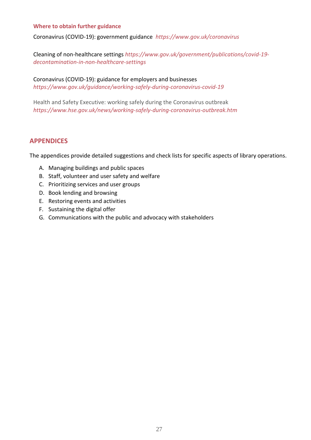#### **Where to obtain further guidance**

[Coronavirus \(COVID-19\): government guidance](https://societyofchieflibrarians.sharepoint.com/Shared%20Documents/coronavirus/Service%20Recovery%20Planning/Guidance%20draft%20docs/Coronavirus%20(COVID-19):%20government%20guidance) *<https://www.gov.uk/coronavirus>*

Cleaning of non-healthcare settings *[https://www.gov.uk/government/publications/covid-19](https://www.gov.uk/government/publications/covid-19-decontamination-in-non-healthcare-settings) [decontamination-in-non-healthcare-settings](https://www.gov.uk/government/publications/covid-19-decontamination-in-non-healthcare-settings)*

[Coronavirus \(COVID-19\): guidance for employers and businesses](https://www.gov.uk/coronavirus/business-support) *<https://www.gov.uk/guidance/working-safely-during-coronavirus-covid-19>*

Health and Safety Executive: working safely during the Coronavirus outbreak *<https://www.hse.gov.uk/news/working-safely-during-coronavirus-outbreak.htm>*

# **APPENDICES**

The appendices provide detailed suggestions and check lists for specific aspects of library operations.

- A. Managing buildings and public spaces
- B. Staff, volunteer and user safety and welfare
- C. Prioritizing services and user groups
- D. Book lending and browsing
- E. Restoring events and activities
- F. Sustaining the digital offer
- G. Communications with the public and advocacy with stakeholders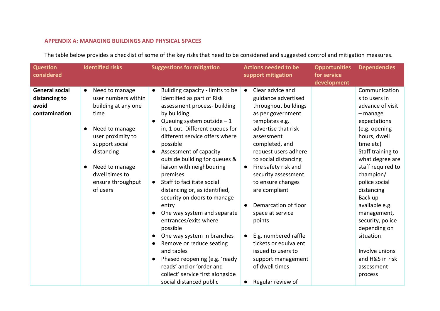# **APPENDIX A: MANAGING BUILDINGS AND PHYSICAL SPACES**

The table below provides a checklist of some of the key risks that need to be considered and suggested control and mitigation measures.

| <b>Question</b><br>considered                                    | <b>Identified risks</b>                                                                                                                                                                                                       | <b>Suggestions for mitigation</b>                                                                                                                                                                                                                                                                                                                                                                                                                                                                                                                                                                                                                                                                                                                        | <b>Actions needed to be</b><br>support mitigation                                                                                                                                                                                                                                                                                                                                                                                                                                                                                                | <b>Opportunities</b><br>for service | <b>Dependencies</b>                                                                                                                                                                                                                                                                                                                                                                                |
|------------------------------------------------------------------|-------------------------------------------------------------------------------------------------------------------------------------------------------------------------------------------------------------------------------|----------------------------------------------------------------------------------------------------------------------------------------------------------------------------------------------------------------------------------------------------------------------------------------------------------------------------------------------------------------------------------------------------------------------------------------------------------------------------------------------------------------------------------------------------------------------------------------------------------------------------------------------------------------------------------------------------------------------------------------------------------|--------------------------------------------------------------------------------------------------------------------------------------------------------------------------------------------------------------------------------------------------------------------------------------------------------------------------------------------------------------------------------------------------------------------------------------------------------------------------------------------------------------------------------------------------|-------------------------------------|----------------------------------------------------------------------------------------------------------------------------------------------------------------------------------------------------------------------------------------------------------------------------------------------------------------------------------------------------------------------------------------------------|
|                                                                  |                                                                                                                                                                                                                               |                                                                                                                                                                                                                                                                                                                                                                                                                                                                                                                                                                                                                                                                                                                                                          |                                                                                                                                                                                                                                                                                                                                                                                                                                                                                                                                                  | development                         |                                                                                                                                                                                                                                                                                                                                                                                                    |
| <b>General social</b><br>distancing to<br>avoid<br>contamination | Need to manage<br>$\bullet$<br>user numbers within<br>building at any one<br>time<br>Need to manage<br>user proximity to<br>support social<br>distancing<br>Need to manage<br>dwell times to<br>ensure throughput<br>of users | Building capacity - limits to be<br>identified as part of Risk<br>assessment process- building<br>by building.<br>Queuing system outside $-1$<br>$\bullet$<br>in, 1 out. Different queues for<br>different service offers where<br>possible<br>Assessment of capacity<br>$\bullet$<br>outside building for queues &<br>liaison with neighbouring<br>premises<br>Staff to facilitate social<br>$\bullet$<br>distancing or, as identified,<br>security on doors to manage<br>entry<br>One way system and separate<br>entrances/exits where<br>possible<br>One way system in branches<br>Remove or reduce seating<br>and tables<br>Phased reopening (e.g. 'ready<br>reads' and or 'order and<br>collect' service first alongside<br>social distanced public | Clear advice and<br>$\bullet$<br>guidance advertised<br>throughout buildings<br>as per government<br>templates e.g.<br>advertise that risk<br>assessment<br>completed, and<br>request users adhere<br>to social distancing<br>Fire safety risk and<br>security assessment<br>to ensure changes<br>are compliant<br>Demarcation of floor<br>$\bullet$<br>space at service<br>points<br>E.g. numbered raffle<br>$\bullet$<br>tickets or equivalent<br>issued to users to<br>support management<br>of dwell times<br>Regular review of<br>$\bullet$ |                                     | Communication<br>s to users in<br>advance of visit<br>$-$ manage<br>expectations<br>(e.g. opening<br>hours, dwell<br>time etc)<br>Staff training to<br>what degree are<br>staff required to<br>champion/<br>police social<br>distancing<br>Back up<br>available e.g.<br>management,<br>security, police<br>depending on<br>situation<br>Involve unions<br>and H&S in risk<br>assessment<br>process |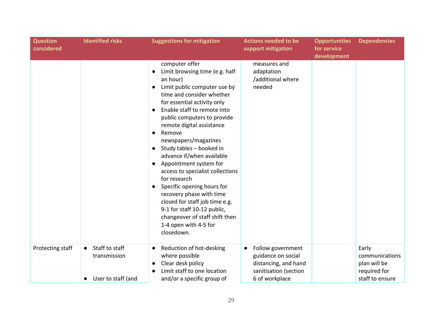| <b>Question</b><br>considered | <b>Identified risks</b><br><b>Suggestions for mitigation</b>                   |                                                                                                                                                                                                                                                                                                                                                                                                                                                                                                                                                                                                                                                                                      | <b>Actions needed to be</b><br>support mitigation                                                                       | <b>Opportunities</b><br>for service<br>development | <b>Dependencies</b>                                                        |
|-------------------------------|--------------------------------------------------------------------------------|--------------------------------------------------------------------------------------------------------------------------------------------------------------------------------------------------------------------------------------------------------------------------------------------------------------------------------------------------------------------------------------------------------------------------------------------------------------------------------------------------------------------------------------------------------------------------------------------------------------------------------------------------------------------------------------|-------------------------------------------------------------------------------------------------------------------------|----------------------------------------------------|----------------------------------------------------------------------------|
|                               |                                                                                | computer offer<br>Limit browsing time (e.g. half<br>an hour)<br>Limit public computer use by<br>$\bullet$<br>time and consider whether<br>for essential activity only<br>Enable staff to remote into<br>public computers to provide<br>remote digital assistance<br>Remove<br>$\bullet$<br>newspapers/magazines<br>Study tables - booked in<br>advance if/when available<br>Appointment system for<br>$\bullet$<br>access to specialist collections<br>for research<br>Specific opening hours for<br>$\bullet$<br>recovery phase with time<br>closed for staff job time e.g.<br>9-1 for staff 10-12 public,<br>changeover of staff shift then<br>1-4 open with 4-5 for<br>closedown. | measures and<br>adaptation<br>/additional where<br>needed                                                               |                                                    |                                                                            |
| Protecting staff              | Staff to staff<br>$\bullet$<br>transmission<br>User to staff (and<br>$\bullet$ | Reduction of hot-desking<br>$\bullet$<br>where possible<br>Clear desk policy<br>$\bullet$<br>Limit staff to one location<br>and/or a specific group of                                                                                                                                                                                                                                                                                                                                                                                                                                                                                                                               | Follow government<br>$\bullet$<br>guidance on social<br>distancing, and hand<br>sanitisation (section<br>6 of workplace |                                                    | Early<br>communications<br>plan will be<br>required for<br>staff to ensure |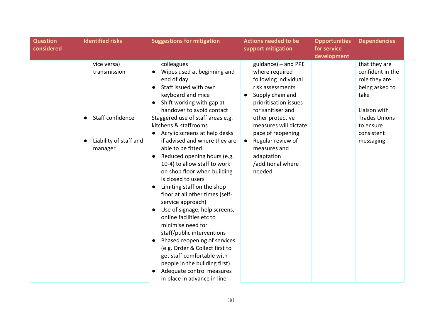| <b>Question</b><br><b>Identified risks</b><br>considered                             | <b>Suggestions for mitigation</b>                                                                                                                                                                                                                                                                                                                                                                                                                                                                                                                                                                                                                                                                                                                                                                                                                        | <b>Actions needed to be</b><br>support mitigation                                                                                                                                                                                                                                                       | <b>Opportunities</b><br>for service<br>development | <b>Dependencies</b>                                                                                                                                          |
|--------------------------------------------------------------------------------------|----------------------------------------------------------------------------------------------------------------------------------------------------------------------------------------------------------------------------------------------------------------------------------------------------------------------------------------------------------------------------------------------------------------------------------------------------------------------------------------------------------------------------------------------------------------------------------------------------------------------------------------------------------------------------------------------------------------------------------------------------------------------------------------------------------------------------------------------------------|---------------------------------------------------------------------------------------------------------------------------------------------------------------------------------------------------------------------------------------------------------------------------------------------------------|----------------------------------------------------|--------------------------------------------------------------------------------------------------------------------------------------------------------------|
| vice versa)<br>transmission<br>Staff confidence<br>Liability of staff and<br>manager | colleagues<br>Wipes used at beginning and<br>end of day<br>Staff issued with own<br>$\bullet$<br>keyboard and mice<br>Shift working with gap at<br>handover to avoid contact<br>Staggered use of staff areas e.g.<br>kitchens & staffrooms<br>Acrylic screens at help desks<br>if advised and where they are<br>able to be fitted<br>Reduced opening hours (e.g.<br>10-4) to allow staff to work<br>on shop floor when building<br>is closed to users<br>Limiting staff on the shop<br>floor at all other times (self-<br>service approach)<br>Use of signage, help screens,<br>online facilities etc to<br>minimise need for<br>staff/public interventions<br>Phased reopening of services<br>(e.g. Order & Collect first to<br>get staff comfortable with<br>people in the building first)<br>Adequate control measures<br>in place in advance in line | guidance) - and PPE<br>where required<br>following individual<br>risk assessments<br>Supply chain and<br>prioritisation issues<br>for sanitiser and<br>other protective<br>measures will dictate<br>pace of reopening<br>Regular review of<br>measures and<br>adaptation<br>/additional where<br>needed |                                                    | that they are<br>confident in the<br>role they are<br>being asked to<br>take<br>Liaison with<br><b>Trades Unions</b><br>to ensure<br>consistent<br>messaging |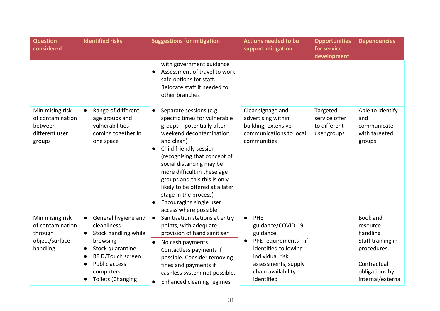|                                                                                                                                                                                                          |                                                                                                                                                                                                                                                                                                                                                                                                      | support mitigation                                                                                                                                                 | for service<br>development                               |                                                                                                                           |
|----------------------------------------------------------------------------------------------------------------------------------------------------------------------------------------------------------|------------------------------------------------------------------------------------------------------------------------------------------------------------------------------------------------------------------------------------------------------------------------------------------------------------------------------------------------------------------------------------------------------|--------------------------------------------------------------------------------------------------------------------------------------------------------------------|----------------------------------------------------------|---------------------------------------------------------------------------------------------------------------------------|
|                                                                                                                                                                                                          | with government guidance<br>Assessment of travel to work<br>safe options for staff.<br>Relocate staff if needed to<br>other branches                                                                                                                                                                                                                                                                 |                                                                                                                                                                    |                                                          |                                                                                                                           |
| Range of different<br>age groups and<br>vulnerabilities<br>coming together in<br>one space                                                                                                               | Separate sessions (e.g.<br>specific times for vulnerable<br>groups - potentially after<br>weekend decontamination<br>and clean)<br>Child friendly session<br>(recognising that concept of<br>social distancing may be<br>more difficult in these age<br>groups and this this is only<br>likely to be offered at a later<br>stage in the process)<br>Encouraging single user<br>access where possible | Clear signage and<br>advertising within<br>building; extensive<br>communications to local<br>communities                                                           | Targeted<br>service offer<br>to different<br>user groups | Able to identify<br>and<br>communicate<br>with targeted<br>groups                                                         |
| General hygiene and<br>$\bullet$<br>cleanliness<br>Stock handling while<br>$\bullet$<br>browsing<br>Stock quarantine<br>$\bullet$<br>RFID/Touch screen<br><b>Public access</b><br>$\bullet$<br>computers | Sanitisation stations at entry<br>points, with adequate<br>provision of hand sanitiser<br>No cash payments.<br>Contactless payments if<br>possible. Consider removing<br>fines and payments if<br>cashless system not possible.                                                                                                                                                                      | PHE<br>$\bullet$<br>guidance/COVID-19<br>guidance<br>PPE requirements - if<br>identified following<br>individual risk<br>assessments, supply<br>chain availability |                                                          | Book and<br>resource<br>handling<br>Staff training in<br>procedures.<br>Contractual<br>obligations by<br>internal/externa |
|                                                                                                                                                                                                          | <b>Toilets (Changing</b>                                                                                                                                                                                                                                                                                                                                                                             | <b>Enhanced cleaning regimes</b>                                                                                                                                   | identified                                               |                                                                                                                           |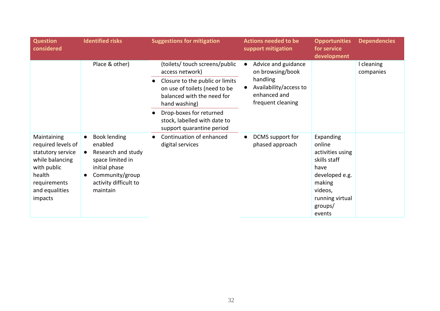| <b>Question</b><br>considered                                                                                                                   | <b>Identified risks</b>                                                                                                                                                     | <b>Suggestions for mitigation</b>                                                                                                                                    | <b>Actions needed to be</b><br>support mitigation                                                                  | <b>Opportunities</b><br>for service<br>development                                                                                             | <b>Dependencies</b>     |
|-------------------------------------------------------------------------------------------------------------------------------------------------|-----------------------------------------------------------------------------------------------------------------------------------------------------------------------------|----------------------------------------------------------------------------------------------------------------------------------------------------------------------|--------------------------------------------------------------------------------------------------------------------|------------------------------------------------------------------------------------------------------------------------------------------------|-------------------------|
|                                                                                                                                                 | Place & other)                                                                                                                                                              | (toilets/ touch screens/public<br>access network)<br>Closure to the public or limits<br>on use of toilets (need to be<br>balanced with the need for<br>hand washing) | Advice and guidance<br>on browsing/book<br>handling<br>Availability/access to<br>enhanced and<br>frequent cleaning |                                                                                                                                                | I cleaning<br>companies |
|                                                                                                                                                 |                                                                                                                                                                             | Drop-boxes for returned<br>stock, labelled with date to<br>support quarantine period                                                                                 |                                                                                                                    |                                                                                                                                                |                         |
| Maintaining<br>required levels of<br>statutory service<br>while balancing<br>with public<br>health<br>requirements<br>and equalities<br>impacts | <b>Book lending</b><br>$\bullet$<br>enabled<br>Research and study<br>space limited in<br>initial phase<br>Community/group<br>$\bullet$<br>activity difficult to<br>maintain | Continuation of enhanced<br>digital services                                                                                                                         | DCMS support for<br>phased approach                                                                                | Expanding<br>online<br>activities using<br>skills staff<br>have<br>developed e.g.<br>making<br>videos,<br>running virtual<br>groups/<br>events |                         |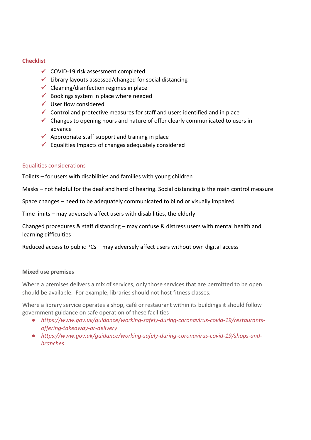#### **Checklist**

- ✓ COVID-19 risk assessment completed
- $\checkmark$  Library layouts assessed/changed for social distancing
- $\checkmark$  Cleaning/disinfection regimes in place
- $\checkmark$  Bookings system in place where needed
- $\checkmark$  User flow considered
- $\checkmark$  Control and protective measures for staff and users identified and in place
- $\checkmark$  Changes to opening hours and nature of offer clearly communicated to users in advance
- $\checkmark$  Appropriate staff support and training in place
- $\checkmark$  Equalities Impacts of changes adequately considered

#### Equalities considerations

Toilets – for users with disabilities and families with young children

Masks – not helpful for the deaf and hard of hearing. Social distancing is the main control measure

Space changes – need to be adequately communicated to blind or visually impaired

Time limits – may adversely affect users with disabilities, the elderly

Changed procedures & staff distancing – may confuse & distress users with mental health and learning difficulties

Reduced access to public PCs – may adversely affect users without own digital access

#### **Mixed use premises**

Where a premises delivers a mix of services, only those services that are permitted to be open should be available. For example, libraries should not host fitness classes.

Where a library service operates a shop, café or restaurant within its buildings it should follow government guidance on safe operation of these facilities

- *[https://www.gov.uk/guidance/working-safely-during-coronavirus-covid-19/restaurants](https://www.gov.uk/guidance/working-safely-during-coronavirus-covid-19/restaurants-offering-takeaway-or-delivery)[offering-takeaway-or-delivery](https://www.gov.uk/guidance/working-safely-during-coronavirus-covid-19/restaurants-offering-takeaway-or-delivery)*
- *[https://www.gov.uk/guidance/working-safely-during-coronavirus-covid-19/shops-and](https://www.gov.uk/guidance/working-safely-during-coronavirus-covid-19/shops-and-branches)[branches](https://www.gov.uk/guidance/working-safely-during-coronavirus-covid-19/shops-and-branches)*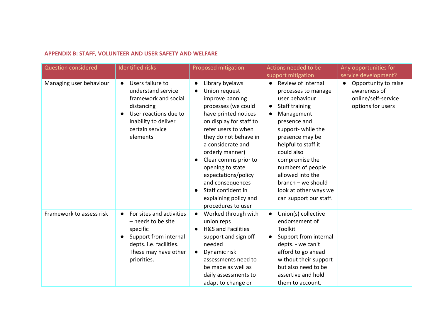# **APPENDIX B: STAFF, VOLUNTEER AND USER SAFETY AND WELFARE**

| <b>Question considered</b> | <b>Identified risks</b>                                                                                                                                                                | Proposed mitigation                                                                                                                                                                                                                                                                                                                                                                              | Actions needed to be                                                                                                                                                                                                                                                                                                                                                 | Any opportunities for                                                                         |
|----------------------------|----------------------------------------------------------------------------------------------------------------------------------------------------------------------------------------|--------------------------------------------------------------------------------------------------------------------------------------------------------------------------------------------------------------------------------------------------------------------------------------------------------------------------------------------------------------------------------------------------|----------------------------------------------------------------------------------------------------------------------------------------------------------------------------------------------------------------------------------------------------------------------------------------------------------------------------------------------------------------------|-----------------------------------------------------------------------------------------------|
|                            |                                                                                                                                                                                        |                                                                                                                                                                                                                                                                                                                                                                                                  | support mitigation                                                                                                                                                                                                                                                                                                                                                   | service development?                                                                          |
| Managing user behaviour    | Users failure to<br>$\bullet$<br>understand service<br>framework and social<br>distancing<br>User reactions due to<br>$\bullet$<br>inability to deliver<br>certain service<br>elements | Library byelaws<br>Union request -<br>improve banning<br>processes (we could<br>have printed notices<br>on display for staff to<br>refer users to when<br>they do not behave in<br>a considerate and<br>orderly manner)<br>Clear comms prior to<br>opening to state<br>expectations/policy<br>and consequences<br>Staff confident in<br>$\bullet$<br>explaining policy and<br>procedures to user | Review of internal<br>$\bullet$<br>processes to manage<br>user behaviour<br>Staff training<br>$\bullet$<br>Management<br>$\bullet$<br>presence and<br>support- while the<br>presence may be<br>helpful to staff it<br>could also<br>compromise the<br>numbers of people<br>allowed into the<br>branch - we should<br>look at other ways we<br>can support our staff. | Opportunity to raise<br>$\bullet$<br>awareness of<br>online/self-service<br>options for users |
| Framework to assess risk   | For sites and activities<br>$\bullet$<br>$-$ needs to be site<br>specific<br>Support from internal<br>$\bullet$<br>depts. i.e. facilities.<br>These may have other<br>priorities.      | Worked through with<br>$\bullet$<br>union reps<br><b>H&amp;S and Facilities</b><br>$\bullet$<br>support and sign off<br>needed<br>Dynamic risk<br>$\bullet$<br>assessments need to<br>be made as well as<br>daily assessments to<br>adapt to change or                                                                                                                                           | Union(s) collective<br>$\bullet$<br>endorsement of<br>Toolkit<br>Support from internal<br>$\bullet$<br>depts. - we can't<br>afford to go ahead<br>without their support<br>but also need to be<br>assertive and hold<br>them to account.                                                                                                                             |                                                                                               |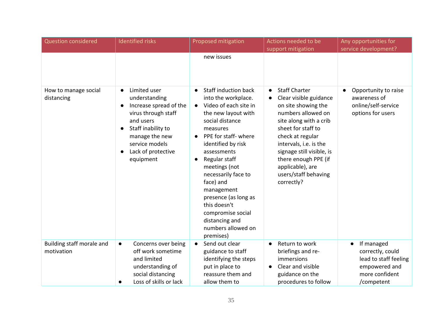| Question considered                     | <b>Identified risks</b>                                                                                                                                                                                                         | Proposed mitigation                                                                                                                                                                                                                                                                                                                                                                                                                         | Actions needed to be<br>support mitigation                                                                                                                                                                                                                                                                            | Any opportunities for<br>service development?                                                            |
|-----------------------------------------|---------------------------------------------------------------------------------------------------------------------------------------------------------------------------------------------------------------------------------|---------------------------------------------------------------------------------------------------------------------------------------------------------------------------------------------------------------------------------------------------------------------------------------------------------------------------------------------------------------------------------------------------------------------------------------------|-----------------------------------------------------------------------------------------------------------------------------------------------------------------------------------------------------------------------------------------------------------------------------------------------------------------------|----------------------------------------------------------------------------------------------------------|
|                                         |                                                                                                                                                                                                                                 | new issues                                                                                                                                                                                                                                                                                                                                                                                                                                  |                                                                                                                                                                                                                                                                                                                       |                                                                                                          |
| How to manage social<br>distancing      | Limited user<br>$\bullet$<br>understanding<br>Increase spread of the<br>$\bullet$<br>virus through staff<br>and users<br>Staff inability to<br>$\bullet$<br>manage the new<br>service models<br>Lack of protective<br>equipment | <b>Staff induction back</b><br>$\bullet$<br>into the workplace.<br>Video of each site in<br>$\bullet$<br>the new layout with<br>social distance<br>measures<br>PPE for staff- where<br>$\bullet$<br>identified by risk<br>assessments<br>Regular staff<br>meetings (not<br>necessarily face to<br>face) and<br>management<br>presence (as long as<br>this doesn't<br>compromise social<br>distancing and<br>numbers allowed on<br>premises) | <b>Staff Charter</b><br>$\bullet$<br>Clear visible guidance<br>on site showing the<br>numbers allowed on<br>site along with a crib<br>sheet for staff to<br>check at regular<br>intervals, i.e. is the<br>signage still visible, is<br>there enough PPE (if<br>applicable), are<br>users/staff behaving<br>correctly? | Opportunity to raise<br>awareness of<br>online/self-service<br>options for users                         |
| Building staff morale and<br>motivation | Concerns over being<br>$\bullet$<br>off work sometime<br>and limited<br>understanding of<br>social distancing<br>Loss of skills or lack<br>$\bullet$                                                                            | Send out clear<br>$\bullet$<br>guidance to staff<br>identifying the steps<br>put in place to<br>reassure them and<br>allow them to                                                                                                                                                                                                                                                                                                          | Return to work<br>$\bullet$<br>briefings and re-<br>immersions<br>Clear and visible<br>guidance on the<br>procedures to follow                                                                                                                                                                                        | If managed<br>correctly, could<br>lead to staff feeling<br>empowered and<br>more confident<br>/competent |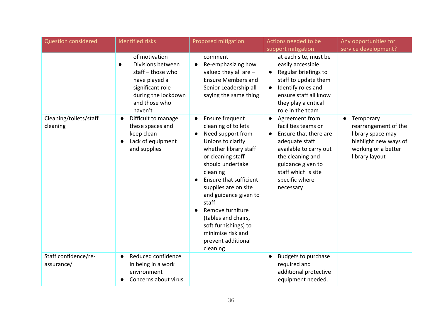| <b>Question considered</b>         | <b>Identified risks</b>                                                                                                                       | Proposed mitigation                                                                                                                                                                                                                                                                                                                                                                       | Actions needed to be                                                                                                                                                                                                                | Any opportunities for                                                                                                                 |
|------------------------------------|-----------------------------------------------------------------------------------------------------------------------------------------------|-------------------------------------------------------------------------------------------------------------------------------------------------------------------------------------------------------------------------------------------------------------------------------------------------------------------------------------------------------------------------------------------|-------------------------------------------------------------------------------------------------------------------------------------------------------------------------------------------------------------------------------------|---------------------------------------------------------------------------------------------------------------------------------------|
|                                    |                                                                                                                                               |                                                                                                                                                                                                                                                                                                                                                                                           | support mitigation                                                                                                                                                                                                                  | service development?                                                                                                                  |
|                                    | of motivation<br>Divisions between<br>staff-those who<br>have played a<br>significant role<br>during the lockdown<br>and those who<br>haven't | comment<br>Re-emphasizing how<br>valued they all are $-$<br><b>Ensure Members and</b><br>Senior Leadership all<br>saying the same thing                                                                                                                                                                                                                                                   | at each site, must be<br>easily accessible<br>Regular briefings to<br>$\bullet$<br>staff to update them<br>Identify roles and<br>$\bullet$<br>ensure staff all know<br>they play a critical<br>role in the team                     |                                                                                                                                       |
| Cleaning/toilets/staff<br>cleaning | Difficult to manage<br>$\bullet$<br>these spaces and<br>keep clean<br>Lack of equipment<br>$\bullet$<br>and supplies                          | Ensure frequent<br>$\bullet$<br>cleaning of toilets<br>Need support from<br>Unions to clarify<br>whether library staff<br>or cleaning staff<br>should undertake<br>cleaning<br>Ensure that sufficient<br>supplies are on site<br>and guidance given to<br>staff<br>Remove furniture<br>(tables and chairs,<br>soft furnishings) to<br>minimise risk and<br>prevent additional<br>cleaning | Agreement from<br>$\bullet$<br>facilities teams or<br>Ensure that there are<br>$\bullet$<br>adequate staff<br>available to carry out<br>the cleaning and<br>guidance given to<br>staff which is site<br>specific where<br>necessary | Temporary<br>$\bullet$<br>rearrangement of the<br>library space may<br>highlight new ways of<br>working or a better<br>library layout |
| Staff confidence/re-<br>assurance/ | Reduced confidence<br>$\bullet$<br>in being in a work<br>environment<br>Concerns about virus                                                  |                                                                                                                                                                                                                                                                                                                                                                                           | <b>Budgets to purchase</b><br>required and<br>additional protective<br>equipment needed.                                                                                                                                            |                                                                                                                                       |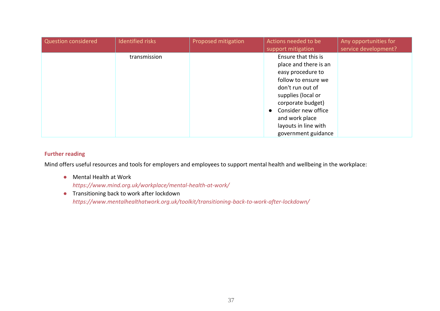| <b>Question considered</b> | Identified risks | Proposed mitigation | Actions needed to be<br>support mitigation                                                                                                                                                                                                                   | Any opportunities for<br>service development? |
|----------------------------|------------------|---------------------|--------------------------------------------------------------------------------------------------------------------------------------------------------------------------------------------------------------------------------------------------------------|-----------------------------------------------|
|                            | transmission     |                     | Ensure that this is<br>place and there is an<br>easy procedure to<br>follow to ensure we<br>don't run out of<br>supplies (local or<br>corporate budget)<br>Consider new office<br>$\bullet$<br>and work place<br>layouts in line with<br>government guidance |                                               |

### **Further reading**

Mind offers useful resources and tools for employers and employees to support mental health and wellbeing in the workplace:

- Mental Health at Work *<https://www.mind.org.uk/workplace/mental-health-at-work/>*
- Transitioning back to work after lockdown *<https://www.mentalhealthatwork.org.uk/toolkit/transitioning-back-to-work-after-lockdown/>*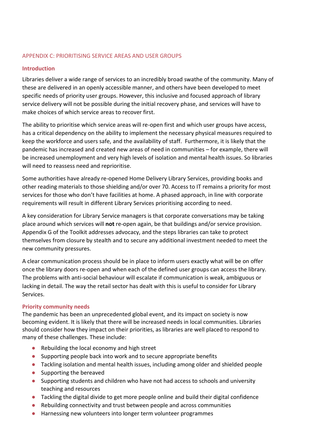## APPENDIX C: PRIORITISING SERVICE AREAS AND USER GROUPS

## **Introduction**

Libraries deliver a wide range of services to an incredibly broad swathe of the community. Many of these are delivered in an openly accessible manner, and others have been developed to meet specific needs of priority user groups. However, this inclusive and focused approach of library service delivery will not be possible during the initial recovery phase, and services will have to make choices of which service areas to recover first.

The ability to prioritise which service areas will re-open first and which user groups have access, has a critical dependency on the ability to implement the necessary physical measures required to keep the workforce and users safe, and the availability of staff. Furthermore, it is likely that the pandemic has increased and created new areas of need in communities – for example, there will be increased unemployment and very high levels of isolation and mental health issues. So libraries will need to reassess need and reprioritise.

Some authorities have already re-opened Home Delivery Library Services, providing books and other reading materials to those shielding and/or over 70. Access to IT remains a priority for most services for those who don't have facilities at home. A phased approach, in line with corporate requirements will result in different Library Services prioritising according to need.

A key consideration for Library Service managers is that corporate conversations may be taking place around which services will **not** re-open again, be that buildings and/or service provision. Appendix G of the Toolkit addresses advocacy, and the steps libraries can take to protect themselves from closure by stealth and to secure any additional investment needed to meet the new community pressures.

A clear communication process should be in place to inform users exactly what will be on offer once the library doors re-open and when each of the defined user groups can access the library. The problems with anti-social behaviour will escalate if communication is weak, ambiguous or lacking in detail. The way the retail sector has dealt with this is useful to consider for Library Services.

# **Priority community needs**

The pandemic has been an unprecedented global event, and its impact on society is now becoming evident. It is likely that there will be increased needs in local communities. Libraries should consider how they impact on their priorities, as libraries are well placed to respond to many of these challenges. These include:

- Rebuilding the local economy and high street
- Supporting people back into work and to secure appropriate benefits
- Tackling isolation and mental health issues, including among older and shielded people
- Supporting the bereaved
- Supporting students and children who have not had access to schools and university teaching and resources
- Tackling the digital divide to get more people online and build their digital confidence
- Rebuilding connectivity and trust between people and across communities
- Harnessing new volunteers into longer term volunteer programmes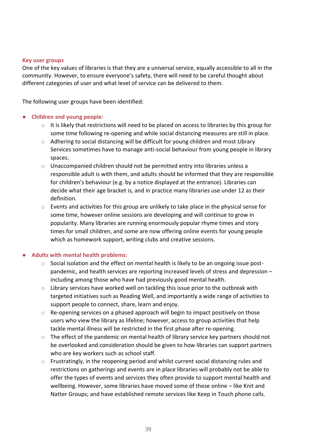#### **Key user groups**

One of the key values of libraries is that they are a universal service, equally accessible to all in the community. However, to ensure everyone's safety, there will need to be careful thought about different categories of user and what level of service can be delivered to them.

The following user groups have been identified:

### **Children and young people:**

- $\circ$  It is likely that restrictions will need to be placed on access to libraries by this group for some time following re-opening and while social distancing measures are still in place.
- $\circ$  Adhering to social distancing will be difficult for young children and most Library Services sometimes have to manage anti-social behaviour from young people in library spaces.
- o Unaccompanied children should not be permitted entry into libraries unless a responsible adult is with them, and adults should be informed that they are responsible for children's behaviour (e.g. by a notice displayed at the entrance). Libraries can decide what their age bracket is, and in practice many libraries use under 12 as their definition.
- $\circ$  Events and activities for this group are unlikely to take place in the physical sense for some time, however online sessions are developing and will continue to grow in popularity. Many libraries are running enormously popular rhyme times and story times for small children, and some are now offering online events for young people which as homework support, writing clubs and creative sessions.

#### ● **Adults with mental health problems:**

- $\circ$  Social isolation and the effect on mental health is likely to be an ongoing issue postpandemic, and health services are reporting increased levels of stress and depression – including among those who have had previously good mental health.
- $\circ$  Library services have worked well on tackling this issue prior to the outbreak with targeted initiatives such as Reading Well, and importantly a wide range of activities to support people to connect, share, learn and enjoy.
- $\circ$  Re-opening services on a phased approach will begin to impact positively on those users who view the library as lifeline; however, access to group activities that help tackle mental illness will be restricted in the first phase after re-opening.
- $\circ$  The effect of the pandemic on mental health of library service key partners should not be overlooked and consideration should be given to how libraries can support partners who are key workers such as school staff.
- $\circ$  Frustratingly, in the reopening period and whilst current social distancing rules and restrictions on gatherings and events are in place libraries will probably not be able to offer the types of events and services they often provide to support mental health and wellbeing. However, some libraries have moved some of these online – like Knit and Natter Groups; and have established remote services like Keep in Touch phone calls.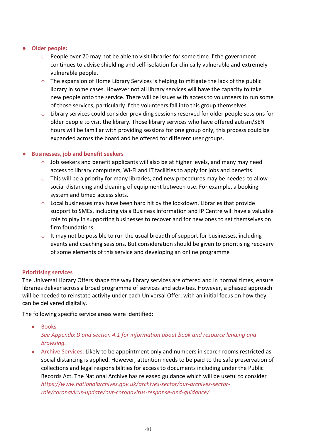## ● **Older people:**

- $\circ$  People over 70 may not be able to visit libraries for some time if the government continues to advise shielding and self-isolation for clinically vulnerable and extremely vulnerable people.
- $\circ$  The expansion of Home Library Services is helping to mitigate the lack of the public library in some cases. However not all library services will have the capacity to take new people onto the service. There will be issues with access to volunteers to run some of those services, particularly if the volunteers fall into this group themselves.
- o Library services could consider providing sessions reserved for older people sessions for older people to visit the library. Those library services who have offered autism/SEN hours will be familiar with providing sessions for one group only, this process could be expanded across the board and be offered for different user groups.

# ● **Businesses, job and benefit seekers**

- $\circ$  Job seekers and benefit applicants will also be at higher levels, and many may need access to library computers, Wi-Fi and IT facilities to apply for jobs and benefits.
- $\circ$  This will be a priority for many libraries, and new procedures may be needed to allow social distancing and cleaning of equipment between use. For example, a booking system and timed access slots.
- o Local businesses may have been hard hit by the lockdown. Libraries that provide support to SMEs, including via a Business Information and IP Centre will have a valuable role to play in supporting businesses to recover and for new ones to set themselves on firm foundations.
- $\circ$  It may not be possible to run the usual breadth of support for businesses, including events and coaching sessions. But consideration should be given to prioritising recovery of some elements of this service and developing an online programme

### **Prioritising services**

The Universal Library Offers shape the way library services are offered and in normal times, ensure libraries deliver across a broad programme of services and activities. However, a phased approach will be needed to reinstate activity under each Universal Offer, with an initial focus on how they can be delivered digitally.

The following specific service areas were identified:

• Books

*See Appendix D and section 4.1 for information about book and resource lending and browsing.*

• Archive Services: Likely to be appointment only and numbers in search rooms restricted as social distancing is applied. However, attention needs to be paid to the safe preservation of collections and legal responsibilities for access to documents including under the Public Records Act. The National Archive has released guidance which will be useful to consider *[https://www.nationalarchives.gov.uk/archives-sector/our-archives-sector](https://www.nationalarchives.gov.uk/archives-sector/our-archives-sector-role/coronavirus-update/our-coronavirus-response-and-guidance/)[role/coronavirus-update/our-coronavirus-response-and-guidance/](https://www.nationalarchives.gov.uk/archives-sector/our-archives-sector-role/coronavirus-update/our-coronavirus-response-and-guidance/)*[.](https://www.nationalarchives.gov.uk/archives-sector/our-archives-sector-role/coronavirus-update/our-coronavirus-response-and-guidance/)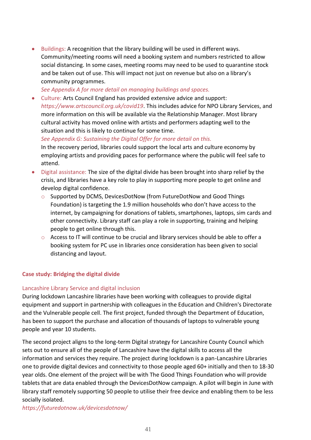• Buildings: A recognition that the library building will be used in different ways. Community/meeting rooms will need a booking system and numbers restricted to allow social distancing. In some cases, meeting rooms may need to be used to quarantine stock and be taken out of use. This will impact not just on revenue but also on a library's community programmes.

*See Appendix A for more detail on managing buildings and spaces.* 

• Culture: Arts Council England has provided extensive advice and support: *<https://www.artscouncil.org.uk/covid19>*. This includes advice for NPO Library Services, and more information on this will be available via the Relationship Manager. Most library cultural activity has moved online with artists and performers adapting well to the situation and this is likely to continue for some time.

*See Appendix G: Sustaining the Digital Offer for more detail on this.* 

In the recovery period, libraries could support the local arts and culture economy by employing artists and providing paces for performance where the public will feel safe to attend.

- Digital assistance: The size of the digital divide has been brought into sharp relief by the crisis, and libraries have a key role to play in supporting more people to get online and develop digital confidence.
	- $\circ$  Supported by DCMS, DevicesDotNow (from FutureDotNow and Good Things Foundation) is targeting the 1.9 million households who don't have access to the internet, by campaigning for donations of tablets, smartphones, laptops, sim cards and other connectivity. Library staff can play a role in supporting, training and helping people to get online through this.
	- $\circ$  Access to IT will continue to be crucial and library services should be able to offer a booking system for PC use in libraries once consideration has been given to social distancing and layout.

# **Case study: Bridging the digital divide**

# Lancashire Library Service and digital inclusion

During lockdown Lancashire libraries have been working with colleagues to provide digital equipment and support in partnership with colleagues in the Education and Children's Directorate and the Vulnerable people cell. The first project, funded through the Department of Education, has been to support the purchase and allocation of thousands of laptops to vulnerable young people and year 10 students.

The second project aligns to the long-term Digital strategy for Lancashire County Council which sets out to ensure all of the people of Lancashire have the digital skills to access all the information and services they require. The project during lockdown is a pan-Lancashire Libraries one to provide digital devices and connectivity to those people aged 60+ initially and then to 18-30 year olds. One element of the project will be with The Good Things Foundation who will provide tablets that are data enabled through the DevicesDotNow campaign. A pilot will begin in June with library staff remotely supporting 50 people to utilise their free device and enabling them to be less socially isolated.

*<https://futuredotnow.uk/devicesdotnow/>*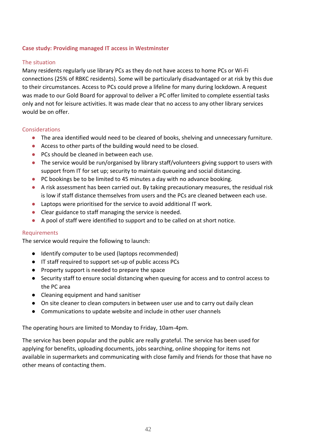## **Case study: Providing managed IT access in Westminster**

### The situation

Many residents regularly use library PCs as they do not have access to home PCs or Wi-Fi connections (25% of RBKC residents). Some will be particularly disadvantaged or at risk by this due to their circumstances. Access to PCs could prove a lifeline for many during lockdown. A request was made to our Gold Board for approval to deliver a PC offer limited to complete essential tasks only and not for leisure activities. It was made clear that no access to any other library services would be on offer.

### Considerations

- The area identified would need to be cleared of books, shelving and unnecessary furniture.
- Access to other parts of the building would need to be closed.
- PCs should be cleaned in between each use.
- The service would be run/organised by library staff/volunteers giving support to users with support from IT for set up; security to maintain queueing and social distancing.
- PC bookings be to be limited to 45 minutes a day with no advance booking.
- A risk assessment has been carried out. By taking precautionary measures, the residual risk is low if staff distance themselves from users and the PCs are cleaned between each use.
- Laptops were prioritised for the service to avoid additional IT work.
- Clear guidance to staff managing the service is needed.
- A pool of staff were identified to support and to be called on at short notice.

### Requirements

The service would require the following to launch:

- Identify computer to be used (laptops recommended)
- IT staff required to support set-up of public access PCs
- Property support is needed to prepare the space
- Security staff to ensure social distancing when queuing for access and to control access to the PC area
- Cleaning equipment and hand sanitiser
- On site cleaner to clean computers in between user use and to carry out daily clean
- Communications to update website and include in other user channels

The operating hours are limited to Monday to Friday, 10am-4pm.

The service has been popular and the public are really grateful. The service has been used for applying for benefits, uploading documents, jobs searching, online shopping for items not available in supermarkets and communicating with close family and friends for those that have no other means of contacting them.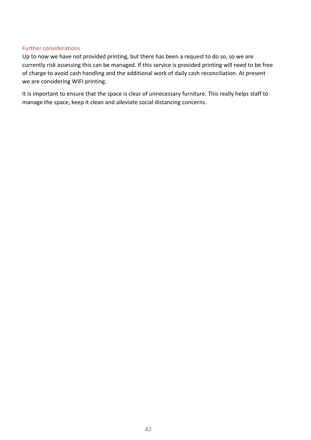### Further considerations

Up to now we have not provided printing, but there has been a request to do so, so we are currently risk assessing this can be managed. If this service is provided printing will need to be free of charge to avoid cash handling and the additional work of daily cash reconciliation. At present we are considering WIFI printing.

It is important to ensure that the space is clear of unnecessary furniture. This really helps staff to manage the space, keep it clean and alleviate social distancing concerns.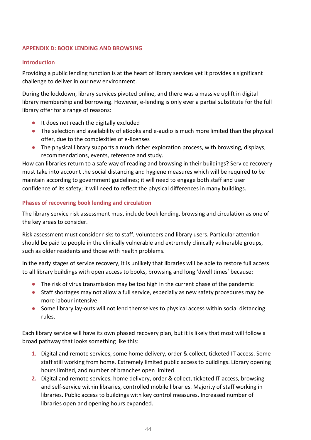# **APPENDIX D: BOOK LENDING AND BROWSING**

# **Introduction**

Providing a public lending function is at the heart of library services yet it provides a significant challenge to deliver in our new environment.

During the lockdown, library services pivoted online, and there was a massive uplift in digital library membership and borrowing. However, e-lending is only ever a partial substitute for the full library offer for a range of reasons:

- It does not reach the digitally excluded
- The selection and availability of eBooks and e-audio is much more limited than the physical offer, due to the complexities of e-licenses
- The physical library supports a much richer exploration process, with browsing, displays, recommendations, events, reference and study.

How can libraries return to a safe way of reading and browsing in their buildings? Service recovery must take into account the social distancing and hygiene measures which will be required to be maintain according to government guidelines; it will need to engage both staff and user confidence of its safety; it will need to reflect the physical differences in many buildings.

# **Phases of recovering book lending and circulation**

The library service risk assessment must include book lending, browsing and circulation as one of the key areas to consider.

Risk assessment must consider risks to staff, volunteers and library users. Particular attention should be paid to people in the clinically vulnerable and extremely clinically vulnerable groups, such as older residents and those with health problems.

In the early stages of service recovery, it is unlikely that libraries will be able to restore full access to all library buildings with open access to books, browsing and long 'dwell times' because:

- The risk of virus transmission may be too high in the current phase of the pandemic
- Staff shortages may not allow a full service, especially as new safety procedures may be more labour intensive
- Some library lay-outs will not lend themselves to physical access within social distancing rules.

Each library service will have its own phased recovery plan, but it is likely that most will follow a broad pathway that looks something like this:

- **1.** Digital and remote services, some home delivery, order & collect, ticketed IT access. Some staff still working from home. Extremely limited public access to buildings. Library opening hours limited, and number of branches open limited.
- **2.** Digital and remote services, home delivery, order & collect, ticketed IT access, browsing and self-service within libraries, controlled mobile libraries. Majority of staff working in libraries. Public access to buildings with key control measures. Increased number of libraries open and opening hours expanded.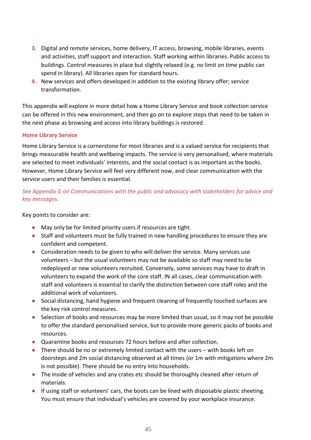- **3.** Digital and remote services, home delivery, IT access, browsing, mobile libraries, events and activities, staff support and interaction. Staff working within libraries. Public access to buildings. Control measures in place but slightly relaxed (e.g. no limit on time public can spend in library). All libraries open for standard hours.
- **4.** New services and offers developed in addition to the existing library offer; service transformation.

This appendix will explore in more detail how a Home Library Service and book collection service can be offered in this new environment, and then go on to explore steps that need to be taken in the next phase as browsing and access into library buildings is restored.

# **Home Library Service**

Home Library Service is a cornerstone for most libraries and is a valued service for recipients that brings measurable health and wellbeing impacts. The service is very personalised, where materials are selected to meet individuals' interests, and the social contact is as important as the books. However, Home Library Service will feel very different now, and clear communication with the service users and their families is essential.

# *See Appendix G on Communications with the public and advocacy with stakeholders for advice and key messages.*

Key points to consider are:

- May only be for limited priority users if resources are tight.
- Staff and volunteers must be fully trained in new handling procedures to ensure they are confident and competent.
- Consideration needs to be given to who will deliver the service. Many services use volunteers – but the usual volunteers may not be available so staff may need to be redeployed or new volunteers recruited. Conversely, some services may have to draft in volunteers to expand the work of the core staff. IN all cases, clear communication with staff and volunteers is essential to clarify the distinction between core staff roles and the additional work of volunteers.
- Social distancing, hand hygiene and frequent cleaning of frequently touched surfaces are the key risk control measures.
- Selection of books and resources may be more limited than usual, so it may not be possible to offer the standard personalised service, but to provide more generic packs of books and resources.
- Quarantine books and resources 72 hours before and after collection.
- There should be no or extremely limited contact with the users with books left on doorsteps and 2m social distancing observed at all times (or 1m with mitigations where 2m is not possible). There should be no entry into households.
- The inside of vehicles and any crates etc should be thoroughly cleaned after return of materials.
- If using staff or volunteers' cars, the boots can be lined with disposable plastic sheeting. You must ensure that individual's vehicles are covered by your workplace insurance.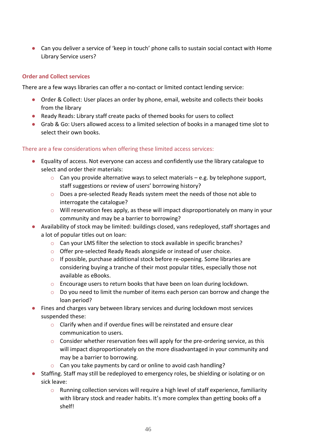● Can you deliver a service of 'keep in touch' phone calls to sustain social contact with Home Library Service users?

# **Order and Collect services**

There are a few ways libraries can offer a no-contact or limited contact lending service:

- Order & Collect: User places an order by phone, email, website and collects their books from the library
- Ready Reads: Library staff create packs of themed books for users to collect
- Grab & Go: Users allowed access to a limited selection of books in a managed time slot to select their own books.

There are a few considerations when offering these limited access services:

- Equality of access. Not everyone can access and confidently use the library catalogue to select and order their materials:
	- $\circ$  Can you provide alternative ways to select materials e.g. by telephone support, staff suggestions or review of users' borrowing history?
	- o Does a pre-selected Ready Reads system meet the needs of those not able to interrogate the catalogue?
	- o Will reservation fees apply, as these will impact disproportionately on many in your community and may be a barrier to borrowing?
- Availability of stock may be limited: buildings closed, vans redeployed, staff shortages and a lot of popular titles out on loan:
	- o Can your LMS filter the selection to stock available in specific branches?
	- o Offer pre-selected Ready Reads alongside or instead of user choice.
	- $\circ$  If possible, purchase additional stock before re-opening. Some libraries are considering buying a tranche of their most popular titles, especially those not available as eBooks.
	- $\circ$  Encourage users to return books that have been on loan during lockdown.
	- $\circ$  Do you need to limit the number of items each person can borrow and change the loan period?
- Fines and charges vary between library services and during lockdown most services suspended these:
	- o Clarify when and if overdue fines will be reinstated and ensure clear communication to users.
	- o Consider whether reservation fees will apply for the pre-ordering service, as this will impact disproportionately on the more disadvantaged in your community and may be a barrier to borrowing.
	- o Can you take payments by card or online to avoid cash handling?
- Staffing. Staff may still be redeployed to emergency roles, be shielding or isolating or on sick leave:
	- $\circ$  Running collection services will require a high level of staff experience, familiarity with library stock and reader habits. It's more complex than getting books off a shelf!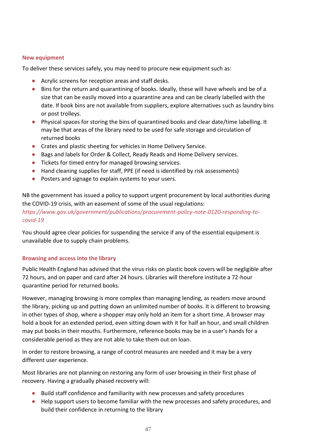### **New equipment**

To deliver these services safely, you may need to procure new equipment such as:

- Acrylic screens for reception areas and staff desks.
- Bins for the return and quarantining of books. Ideally, these will have wheels and be of a size that can be easily moved into a quarantine area and can be clearly labelled with the date. If book bins are not available from suppliers, explore alternatives such as laundry bins or post trolleys.
- Physical spaces for storing the bins of quarantined books and clear date/time labelling. It may be that areas of the library need to be used for safe storage and circulation of returned books
- Crates and plastic sheeting for vehicles in Home Delivery Service.
- Bags and labels for Order & Collect, Ready Reads and Home Delivery services.
- Tickets for timed entry for managed browsing services.
- Hand cleaning supplies for staff, PPE (if need is identified by risk assessments)
- Posters and signage to explain systems to your users.

NB the government has issued a policy to support urgent procurement by local authorities during the COVID-19 crisis, with an easement of some of the usual regulations: *[https://www.gov.uk/government/publications/procurement-policy-note-0120-responding-to](https://www.gov.uk/government/publications/procurement-policy-note-0120-responding-to-covid-19)[covid-19](https://www.gov.uk/government/publications/procurement-policy-note-0120-responding-to-covid-19)*

You should agree clear policies for suspending the service if any of the essential equipment is unavailable due to supply chain problems.

### **Browsing and access into the library**

Public Health England has advised that the virus risks on plastic book covers will be negligible after 72 hours, and on paper and card after 24 hours. Libraries will therefore institute a 72-hour quarantine period for returned books.

However, managing browsing is more complex than managing lending, as readers move around the library, picking up and putting down an unlimited number of books. It is different to browsing in other types of shop, where a shopper may only hold an item for a short time. A browser may hold a book for an extended period, even sitting down with it for half an hour, and small children may put books in their mouths. Furthermore, reference books may be in a user's hands for a considerable period as they are not able to take them out on loan.

In order to restore browsing, a range of control measures are needed and it may be a very different user experience.

Most libraries are not planning on restoring any form of user browsing in their first phase of recovery. Having a gradually phased recovery will:

- Build staff confidence and familiarity with new processes and safety procedures
- Help support users to become familiar with the new processes and safety procedures, and build their confidence in returning to the library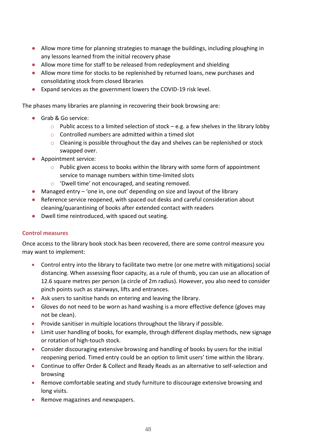- Allow more time for planning strategies to manage the buildings, including ploughing in any lessons learned from the initial recovery phase
- Allow more time for staff to be released from redeployment and shielding
- Allow more time for stocks to be replenished by returned loans, new purchases and consolidating stock from closed libraries
- Expand services as the government lowers the COVID-19 risk level.

The phases many libraries are planning in recovering their book browsing are:

- Grab & Go service:
	- $\circ$  Public access to a limited selection of stock e.g. a few shelves in the library lobby
	- o Controlled numbers are admitted within a timed slot
	- o Cleaning is possible throughout the day and shelves can be replenished or stock swapped over.
- Appointment service:
	- $\circ$  Public given access to books within the library with some form of appointment service to manage numbers within time-limited slots
	- o 'Dwell time' not encouraged, and seating removed.
- $\bullet$  Managed entry 'one in, one out' depending on size and layout of the library
- Reference service reopened, with spaced out desks and careful consideration about cleaning/quarantining of books after extended contact with readers
- Dwell time reintroduced, with spaced out seating.

# **Control measures**

Once access to the library book stock has been recovered, there are some control measure you may want to implement:

- Control entry into the library to facilitate two metre (or one metre with mitigations) social distancing. When assessing floor capacity, as a rule of thumb, you can use an allocation of 12.6 square metres per person (a circle of 2m radius). However, you also need to consider pinch points such as stairways, lifts and entrances.
- Ask users to sanitise hands on entering and leaving the library.
- Gloves do not need to be worn as hand washing is a more effective defence (gloves may not be clean).
- Provide sanitiser in multiple locations throughout the library if possible.
- Limit user handling of books, for example, through different display methods, new signage or rotation of high-touch stock.
- Consider discouraging extensive browsing and handling of books by users for the initial reopening period. Timed entry could be an option to limit users' time within the library.
- Continue to offer Order & Collect and Ready Reads as an alternative to self-selection and browsing
- Remove comfortable seating and study furniture to discourage extensive browsing and long visits.
- Remove magazines and newspapers.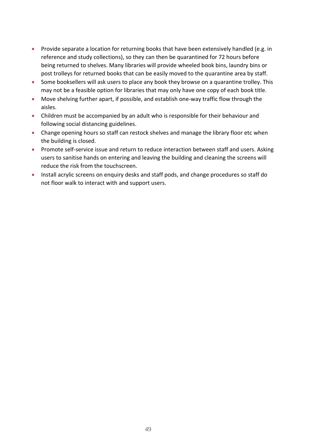- Provide separate a location for returning books that have been extensively handled (e.g. in reference and study collections), so they can then be quarantined for 72 hours before being returned to shelves. Many libraries will provide wheeled book bins, laundry bins or post trolleys for returned books that can be easily moved to the quarantine area by staff.
- Some booksellers will ask users to place any book they browse on a quarantine trolley. This may not be a feasible option for libraries that may only have one copy of each book title.
- Move shelving further apart, if possible, and establish one-way traffic flow through the aisles.
- Children must be accompanied by an adult who is responsible for their behaviour and following social distancing guidelines.
- Change opening hours so staff can restock shelves and manage the library floor etc when the building is closed.
- Promote self-service issue and return to reduce interaction between staff and users. Asking users to sanitise hands on entering and leaving the building and cleaning the screens will reduce the risk from the touchscreen.
- Install acrylic screens on enquiry desks and staff pods, and change procedures so staff do not floor walk to interact with and support users.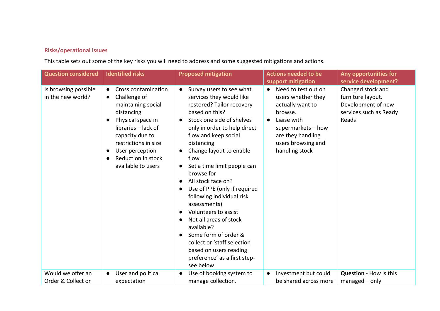# **Risks/operational issues**

This table sets out some of the key risks you will need to address and some suggested mitigations and actions.

| <b>Question considered</b>                | <b>Identified risks</b>                                                                                                                                                                                                                                 | <b>Proposed mitigation</b>                                                                                                                                                                                                                                                                                                                                                                                                                                                                                                                                                                                                                     | <b>Actions needed to be</b><br>support mitigation                                                                                                                                                    | Any opportunities for<br>service development?                                                   |
|-------------------------------------------|---------------------------------------------------------------------------------------------------------------------------------------------------------------------------------------------------------------------------------------------------------|------------------------------------------------------------------------------------------------------------------------------------------------------------------------------------------------------------------------------------------------------------------------------------------------------------------------------------------------------------------------------------------------------------------------------------------------------------------------------------------------------------------------------------------------------------------------------------------------------------------------------------------------|------------------------------------------------------------------------------------------------------------------------------------------------------------------------------------------------------|-------------------------------------------------------------------------------------------------|
| Is browsing possible<br>in the new world? | Cross contamination<br>Challenge of<br>$\bullet$<br>maintaining social<br>distancing<br>Physical space in<br>libraries - lack of<br>capacity due to<br>restrictions in size<br>User perception<br>$\bullet$<br>Reduction in stock<br>available to users | • Survey users to see what<br>services they would like<br>restored? Tailor recovery<br>based on this?<br>Stock one side of shelves<br>only in order to help direct<br>flow and keep social<br>distancing.<br>Change layout to enable<br>flow<br>Set a time limit people can<br>$\bullet$<br>browse for<br>All stock face on?<br>Use of PPE (only if required<br>$\bullet$<br>following individual risk<br>assessments)<br>Volunteers to assist<br>Not all areas of stock<br>$\bullet$<br>available?<br>Some form of order &<br>$\bullet$<br>collect or 'staff selection<br>based on users reading<br>preference' as a first step-<br>see below | Need to test out on<br>$\bullet$<br>users whether they<br>actually want to<br>browse.<br>Liaise with<br>$\bullet$<br>supermarkets - how<br>are they handling<br>users browsing and<br>handling stock | Changed stock and<br>furniture layout.<br>Development of new<br>services such as Ready<br>Reads |
| Would we offer an<br>Order & Collect or   | User and political<br>expectation                                                                                                                                                                                                                       | Use of booking system to<br>manage collection.                                                                                                                                                                                                                                                                                                                                                                                                                                                                                                                                                                                                 | Investment but could<br>be shared across more                                                                                                                                                        | <b>Question - How is this</b><br>$m$ anaged $-$ only                                            |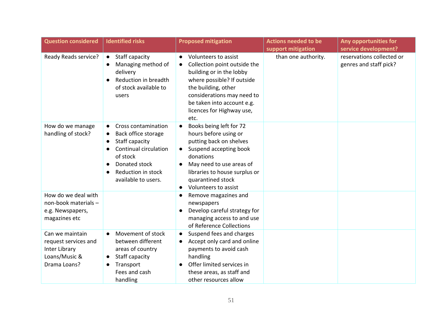| <b>Question considered</b>                                                                | <b>Identified risks</b>                                                                                                                                                                                | <b>Proposed mitigation</b>                                                                                                                                                                                                                          | <b>Actions needed to be</b> | Any opportunities for                               |
|-------------------------------------------------------------------------------------------|--------------------------------------------------------------------------------------------------------------------------------------------------------------------------------------------------------|-----------------------------------------------------------------------------------------------------------------------------------------------------------------------------------------------------------------------------------------------------|-----------------------------|-----------------------------------------------------|
|                                                                                           |                                                                                                                                                                                                        |                                                                                                                                                                                                                                                     | support mitigation          | service development?                                |
| Ready Reads service?                                                                      | Staff capacity<br>$\bullet$<br>Managing method of<br>delivery<br>Reduction in breadth<br>of stock available to<br>users                                                                                | Volunteers to assist<br>Collection point outside the<br>$\bullet$<br>building or in the lobby<br>where possible? If outside<br>the building, other<br>considerations may need to<br>be taken into account e.g.<br>licences for Highway use,<br>etc. | than one authority.         | reservations collected or<br>genres and staff pick? |
| How do we manage<br>handling of stock?                                                    | Cross contamination<br>$\bullet$<br>Back office storage<br>Staff capacity<br>$\bullet$<br>Continual circulation<br>of stock<br>Donated stock<br>$\bullet$<br>Reduction in stock<br>available to users. | Books being left for 72<br>hours before using or<br>putting back on shelves<br>Suspend accepting book<br>donations<br>May need to use areas of<br>libraries to house surplus or<br>quarantined stock<br>Volunteers to assist<br>$\bullet$           |                             |                                                     |
| How do we deal with<br>non-book materials -<br>e.g. Newspapers,<br>magazines etc          |                                                                                                                                                                                                        | Remove magazines and<br>$\bullet$<br>newspapers<br>Develop careful strategy for<br>managing access to and use<br>of Reference Collections                                                                                                           |                             |                                                     |
| Can we maintain<br>request services and<br>Inter Library<br>Loans/Music &<br>Drama Loans? | Movement of stock<br>$\bullet$<br>between different<br>areas of country<br>Staff capacity<br>Transport<br>Fees and cash<br>handling                                                                    | Suspend fees and charges<br>$\bullet$<br>Accept only card and online<br>payments to avoid cash<br>handling<br>Offer limited services in<br>these areas, as staff and<br>other resources allow                                                       |                             |                                                     |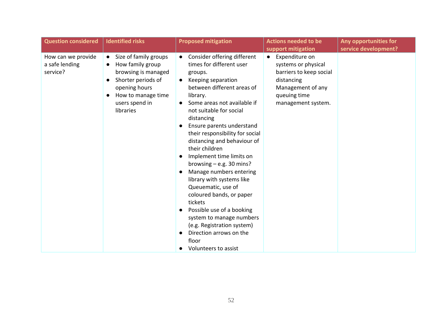| <b>Question considered</b>                       | <b>Identified risks</b>                                                                                                                                                                | <b>Proposed mitigation</b>                                                                                                                                                                                                                                                                                                                                                                                                                                                                                                                                                                                                                                                              | <b>Actions needed to be</b><br>support mitigation                                                                                                      | Any opportunities for<br>service development? |
|--------------------------------------------------|----------------------------------------------------------------------------------------------------------------------------------------------------------------------------------------|-----------------------------------------------------------------------------------------------------------------------------------------------------------------------------------------------------------------------------------------------------------------------------------------------------------------------------------------------------------------------------------------------------------------------------------------------------------------------------------------------------------------------------------------------------------------------------------------------------------------------------------------------------------------------------------------|--------------------------------------------------------------------------------------------------------------------------------------------------------|-----------------------------------------------|
| How can we provide<br>a safe lending<br>service? | Size of family groups<br>$\bullet$<br>How family group<br>$\bullet$<br>browsing is managed<br>Shorter periods of<br>opening hours<br>How to manage time<br>users spend in<br>libraries | Consider offering different<br>times for different user<br>groups.<br>Keeping separation<br>between different areas of<br>library.<br>Some areas not available if<br>not suitable for social<br>distancing<br>Ensure parents understand<br>their responsibility for social<br>distancing and behaviour of<br>their children<br>Implement time limits on<br>browsing $-$ e.g. 30 mins?<br>Manage numbers entering<br>$\bullet$<br>library with systems like<br>Queuematic, use of<br>coloured bands, or paper<br>tickets<br>Possible use of a booking<br>$\bullet$<br>system to manage numbers<br>(e.g. Registration system)<br>Direction arrows on the<br>floor<br>Volunteers to assist | Expenditure on<br>$\bullet$<br>systems or physical<br>barriers to keep social<br>distancing<br>Management of any<br>queuing time<br>management system. |                                               |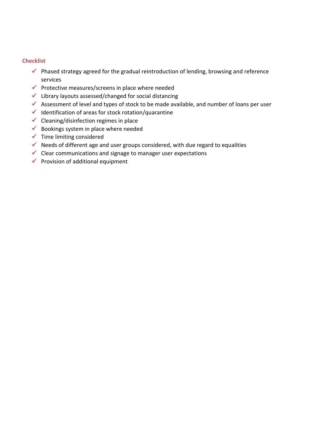## **Checklist**

- $\checkmark$  Phased strategy agreed for the gradual reintroduction of lending, browsing and reference services
- ✓ Protective measures/screens in place where needed
- $\checkmark$  Library layouts assessed/changed for social distancing
- ✓ Assessment of level and types of stock to be made available, and number of loans per user
- ✓ Identification of areas for stock rotation/quarantine
- $\checkmark$  Cleaning/disinfection regimes in place
- $\checkmark$  Bookings system in place where needed
- $\checkmark$  Time limiting considered
- $\checkmark$  Needs of different age and user groups considered, with due regard to equalities
- $\checkmark$  Clear communications and signage to manager user expectations
- $\checkmark$  Provision of additional equipment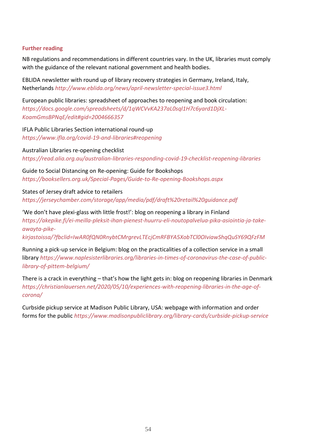### **Further reading**

NB regulations and recommendations in different countries vary. In the UK, libraries must comply with the guidance of the relevant national government and health bodies.

EBLIDA newsletter with round up of library recovery strategies in Germany, Ireland, Italy, Netherlands *<http://www.eblida.org/news/april-newsletter-special-issue3.html>*

European public libraries: spreadsheet of approaches to reopening and book circulation: *[https://docs.google.com/spreadsheets/d/1qWCVvKA237aL0sql1H7c6yard1DjXL-](https://docs.google.com/spreadsheets/d/1qWCVvKA237aL0sql1H7c6yard1DjXL-KoamGmsBPNqE/edit#gid=2004666357)[KoamGmsBPNqE/edit#gid=2004666357](https://docs.google.com/spreadsheets/d/1qWCVvKA237aL0sql1H7c6yard1DjXL-KoamGmsBPNqE/edit#gid=2004666357)*

IFLA Public Libraries Section international round-up *<https://www.ifla.org/covid-19-and-libraries#reopening>*

Australian Libraries re-opening checklist *<https://read.alia.org.au/australian-libraries-responding-covid-19-checklist-reopening-libraries>*

Guide to Social Distancing on Re-opening: Guide for Bookshops *<https://booksellers.org.uk/Special-Pages/Guide-to-Re-opening-Bookshops.aspx>*

States of Jersey draft advice to retailers *<https://jerseychamber.com/storage/app/media/pdf/draft%20retail%20guidance.pdf>*

'We don't have plexi-glass with little frost!': blog on reopening a library in Finland *[https://akepike.fi/ei-meilla-pleksit-ihan-pienest-huurru-eli-noutopalvelua-pika-asiointia-ja-take](https://akepike.fi/ei-meilla-pleksit-ihan-pienest-huurru-eli-noutopalvelua-pika-asiointia-ja-take-awayta-pike-kirjastoissa/?fbclid=IwAR0fQN0RnybtCMrgrevLTEcjCmRFBYA5XobTCl0OIviawShqQuSY69QFzFM)[awayta-pike-](https://akepike.fi/ei-meilla-pleksit-ihan-pienest-huurru-eli-noutopalvelua-pika-asiointia-ja-take-awayta-pike-kirjastoissa/?fbclid=IwAR0fQN0RnybtCMrgrevLTEcjCmRFBYA5XobTCl0OIviawShqQuSY69QFzFM)*

*[kirjastoissa/?fbclid=IwAR0fQN0RnybtCMrgrevLTEcjCmRFBYA5XobTCl0OIviawShqQuSY69QFzFM](https://akepike.fi/ei-meilla-pleksit-ihan-pienest-huurru-eli-noutopalvelua-pika-asiointia-ja-take-awayta-pike-kirjastoissa/?fbclid=IwAR0fQN0RnybtCMrgrevLTEcjCmRFBYA5XobTCl0OIviawShqQuSY69QFzFM)*

Running a pick-up service in Belgium: blog on the practicalities of a collection service in a small library *[https://www.naplesisterlibraries.org/libraries-in-times-of-coronavirus-the-case-of-public](https://www.naplesisterlibraries.org/libraries-in-times-of-coronavirus-the-case-of-public-library-of-pittem-belgium/)[library-of-pittem-belgium/](https://www.naplesisterlibraries.org/libraries-in-times-of-coronavirus-the-case-of-public-library-of-pittem-belgium/)*

There is a crack in everything – that's how the light gets in: blog on reopening libraries in Denmark *[https://christianlauersen.net/2020/05/10/experiences-with-reopening-libraries-in-the-age-of](https://christianlauersen.net/2020/05/10/experiences-with-reopening-libraries-in-the-age-of-corona/)[corona/](https://christianlauersen.net/2020/05/10/experiences-with-reopening-libraries-in-the-age-of-corona/)*

Curbside pickup service at Madison Public Library, USA: webpage with information and order forms for the public *<https://www.madisonpubliclibrary.org/library-cards/curbside-pickup-service>*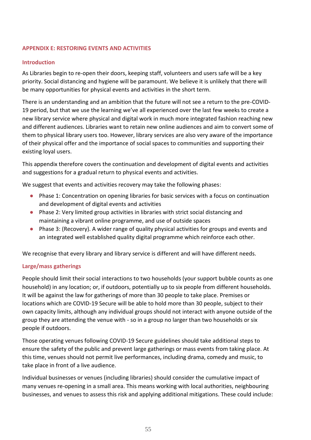## **APPENDIX E: RESTORING EVENTS AND ACTIVITIES**

### **Introduction**

As Libraries begin to re-open their doors, keeping staff, volunteers and users safe will be a key priority. Social distancing and hygiene will be paramount. We believe it is unlikely that there will be many opportunities for physical events and activities in the short term.

There is an understanding and an ambition that the future will not see a return to the pre-COVID-19 period, but that we use the learning we've all experienced over the last few weeks to create a new library service where physical and digital work in much more integrated fashion reaching new and different audiences. Libraries want to retain new online audiences and aim to convert some of them to physical library users too. However, library services are also very aware of the importance of their physical offer and the importance of social spaces to communities and supporting their existing loyal users.

This appendix therefore covers the continuation and development of digital events and activities and suggestions for a gradual return to physical events and activities.

We suggest that events and activities recovery may take the following phases:

- Phase 1: Concentration on opening libraries for basic services with a focus on continuation and development of digital events and activities
- Phase 2: Very limited group activities in libraries with strict social distancing and maintaining a vibrant online programme, and use of outside spaces
- Phase 3: (Recovery). A wider range of quality physical activities for groups and events and an integrated well established quality digital programme which reinforce each other.

We recognise that every library and library service is different and will have different needs.

# **Large/mass gatherings**

People should limit their social interactions to two households (your support bubble counts as one household) in any location; or, if outdoors, potentially up to six people from different households. It will be against the law for gatherings of more than 30 people to take place. Premises or locations which are COVID-19 Secure will be able to hold more than 30 people, subject to their own capacity limits, although any individual groups should not interact with anyone outside of the group they are attending the venue with - so in a group no larger than two households or six people if outdoors.

Those operating venues following COVID-19 Secure guidelines should take additional steps to ensure the safety of the public and prevent large gatherings or mass events from taking place. At this time, venues should not permit live performances, including drama, comedy and music, to take place in front of a live audience.

Individual businesses or venues (including libraries) should consider the cumulative impact of many venues re-opening in a small area. This means working with local authorities, neighbouring businesses, and venues to assess this risk and applying additional mitigations. These could include: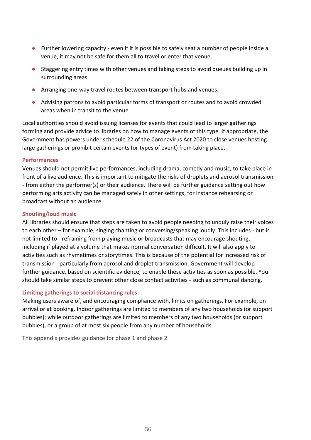- Further lowering capacity even if it is possible to safely seat a number of people inside a venue, it may not be safe for them all to travel or enter that venue.
- Staggering entry times with other venues and taking steps to avoid queues building up in surrounding areas.
- Arranging one-way travel routes between transport hubs and venues.
- Advising patrons to avoid particular forms of transport or routes and to avoid crowded areas when in transit to the venue.

Local authorities should avoid issuing licenses for events that could lead to larger gatherings forming and provide advice to libraries on how to manage events of this type. If appropriate, the Government has powers under schedule 22 of the Coronavirus Act 2020 to close venues hosting large gatherings or prohibit certain events (or types of event) from taking place.

### **Performances**

Venues should not permit live performances, including drama, comedy and music, to take place in front of a live audience. This is important to mitigate the risks of droplets and aerosol transmission - from either the performer(s) or their audience. There will be further guidance setting out how performing arts activity can be managed safely in other settings, for instance rehearsing or broadcast without an audience.

# **Shouting/loud music**

All libraries should ensure that steps are taken to avoid people needing to unduly raise their voices to each other – for example, singing chanting or conversing/speaking loudly. This includes - but is not limited to - refraining from playing music or broadcasts that may encourage shouting, including if played at a volume that makes normal conversation difficult. It will also apply to activities such as rhymetimes or storytimes. This is because of the potential for increased risk of transmission - particularly from aerosol and droplet transmission. Government will develop further guidance, based on scientific evidence, to enable these activities as soon as possible. You should take similar steps to prevent other close contact activities - such as communal dancing.

# **Limiting gatherings to social distancing rules**

Making users aware of, and encouraging compliance with, limits on gatherings. For example, on arrival or at booking. Indoor gatherings are limited to members of any two households (or support bubbles); while outdoor gatherings are limited to members of any two households (or support bubbles), or a group of at most six people from any number of households.

This appendix provides guidance for phase 1 and phase 2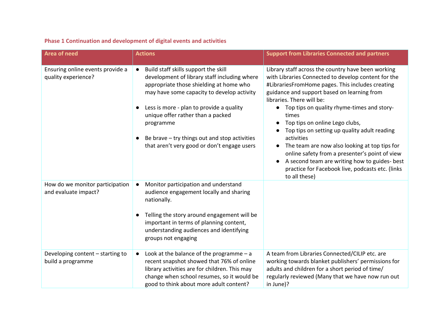# **Phase 1 Continuation and development of digital events and activities**

| <b>Area of need</b>                                     | <b>Actions</b>                                                                                                                                                                                                                                                                                                                                                                                        | <b>Support from Libraries Connected and partners</b>                                                                                                                                                                                                                                                                                                                                                                                                                                                                                                                                                                      |
|---------------------------------------------------------|-------------------------------------------------------------------------------------------------------------------------------------------------------------------------------------------------------------------------------------------------------------------------------------------------------------------------------------------------------------------------------------------------------|---------------------------------------------------------------------------------------------------------------------------------------------------------------------------------------------------------------------------------------------------------------------------------------------------------------------------------------------------------------------------------------------------------------------------------------------------------------------------------------------------------------------------------------------------------------------------------------------------------------------------|
| Ensuring online events provide a<br>quality experience? | Build staff skills support the skill<br>$\bullet$<br>development of library staff including where<br>appropriate those shielding at home who<br>may have some capacity to develop activity<br>Less is more - plan to provide a quality<br>$\bullet$<br>unique offer rather than a packed<br>programme<br>Be brave - try things out and stop activities<br>that aren't very good or don't engage users | Library staff across the country have been working<br>with Libraries Connected to develop content for the<br>#LibrariesFromHome pages. This includes creating<br>guidance and support based on learning from<br>libraries. There will be:<br>Top tips on quality rhyme-times and story-<br>times<br>Top tips on online Lego clubs,<br>Top tips on setting up quality adult reading<br>activities<br>The team are now also looking at top tips for<br>online safety from a presenter's point of view<br>A second team are writing how to guides- best<br>practice for Facebook live, podcasts etc. (links<br>to all these) |
| How do we monitor participation<br>and evaluate impact? | Monitor participation and understand<br>audience engagement locally and sharing<br>nationally.<br>Telling the story around engagement will be<br>$\bullet$<br>important in terms of planning content,<br>understanding audiences and identifying<br>groups not engaging                                                                                                                               |                                                                                                                                                                                                                                                                                                                                                                                                                                                                                                                                                                                                                           |
| Developing content - starting to<br>build a programme   | Look at the balance of the programme $-$ a<br>$\bullet$<br>recent snapshot showed that 76% of online<br>library activities are for children. This may<br>change when school resumes, so it would be<br>good to think about more adult content?                                                                                                                                                        | A team from Libraries Connected/CILIP etc. are<br>working towards blanket publishers' permissions for<br>adults and children for a short period of time/<br>regularly reviewed (Many that we have now run out<br>in June)?                                                                                                                                                                                                                                                                                                                                                                                                |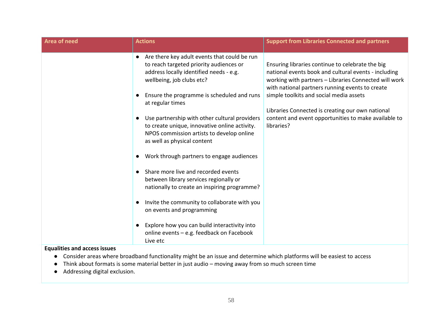| <b>Area of need</b> | <b>Actions</b>                                                                                                                                                                          | <b>Support from Libraries Connected and partners</b>                                                                                                                                                                 |
|---------------------|-----------------------------------------------------------------------------------------------------------------------------------------------------------------------------------------|----------------------------------------------------------------------------------------------------------------------------------------------------------------------------------------------------------------------|
|                     | Are there key adult events that could be run<br>$\bullet$<br>to reach targeted priority audiences or<br>address locally identified needs - e.g.<br>wellbeing, job clubs etc?            | Ensuring libraries continue to celebrate the big<br>national events book and cultural events - including<br>working with partners - Libraries Connected will work<br>with national partners running events to create |
|                     | Ensure the programme is scheduled and runs<br>at regular times                                                                                                                          | simple toolkits and social media assets                                                                                                                                                                              |
|                     | Use partnership with other cultural providers<br>$\bullet$<br>to create unique, innovative online activity.<br>NPOS commission artists to develop online<br>as well as physical content | Libraries Connected is creating our own national<br>content and event opportunities to make available to<br>libraries?                                                                                               |
|                     | Work through partners to engage audiences                                                                                                                                               |                                                                                                                                                                                                                      |
|                     | Share more live and recorded events<br>between library services regionally or<br>nationally to create an inspiring programme?                                                           |                                                                                                                                                                                                                      |
|                     | Invite the community to collaborate with you<br>$\bullet$<br>on events and programming                                                                                                  |                                                                                                                                                                                                                      |
|                     | Explore how you can build interactivity into<br>online events - e.g. feedback on Facebook<br>Live etc                                                                                   |                                                                                                                                                                                                                      |

# **Equalities and access issues**

- Consider areas where broadband functionality might be an issue and determine which platforms will be easiest to access
- Think about formats is some material better in just audio moving away from so much screen time
- Addressing digital exclusion.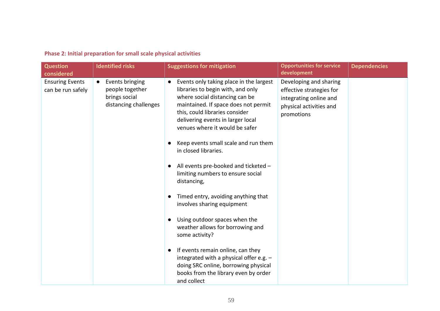| <b>Question</b><br>considered               | <b>Identified risks</b>                                                      | <b>Suggestions for mitigation</b>                                                                                                                                                                                                                                                                                    | <b>Opportunities for service</b><br>development                                                                       | <b>Dependencies</b> |
|---------------------------------------------|------------------------------------------------------------------------------|----------------------------------------------------------------------------------------------------------------------------------------------------------------------------------------------------------------------------------------------------------------------------------------------------------------------|-----------------------------------------------------------------------------------------------------------------------|---------------------|
| <b>Ensuring Events</b><br>can be run safely | Events bringing<br>people together<br>brings social<br>distancing challenges | Events only taking place in the largest<br>$\bullet$<br>libraries to begin with, and only<br>where social distancing can be<br>maintained. If space does not permit<br>this, could libraries consider<br>delivering events in larger local<br>venues where it would be safer<br>Keep events small scale and run them | Developing and sharing<br>effective strategies for<br>integrating online and<br>physical activities and<br>promotions |                     |
|                                             |                                                                              | in closed libraries.<br>All events pre-booked and ticketed -<br>limiting numbers to ensure social<br>distancing,                                                                                                                                                                                                     |                                                                                                                       |                     |
|                                             |                                                                              | Timed entry, avoiding anything that<br>involves sharing equipment                                                                                                                                                                                                                                                    |                                                                                                                       |                     |
|                                             |                                                                              | Using outdoor spaces when the<br>weather allows for borrowing and<br>some activity?                                                                                                                                                                                                                                  |                                                                                                                       |                     |
|                                             |                                                                              | If events remain online, can they<br>$\bullet$<br>integrated with a physical offer e.g. -<br>doing SRC online, borrowing physical<br>books from the library even by order<br>and collect                                                                                                                             |                                                                                                                       |                     |

# **Phase 2: Initial preparation for small scale physical activities**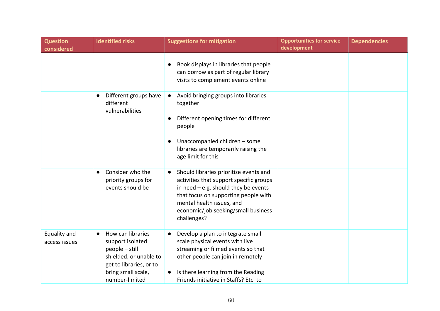| <b>Question</b><br>considered | <b>Identified risks</b>                                                                                                                                             | <b>Suggestions for mitigation</b>                                                                                                                                                                                                                     | <b>Opportunities for service</b><br>development | <b>Dependencies</b> |
|-------------------------------|---------------------------------------------------------------------------------------------------------------------------------------------------------------------|-------------------------------------------------------------------------------------------------------------------------------------------------------------------------------------------------------------------------------------------------------|-------------------------------------------------|---------------------|
|                               |                                                                                                                                                                     | Book displays in libraries that people<br>can borrow as part of regular library<br>visits to complement events online                                                                                                                                 |                                                 |                     |
|                               | Different groups have<br>different<br>vulnerabilities                                                                                                               | Avoid bringing groups into libraries<br>$\bullet$<br>together<br>Different opening times for different<br>people<br>Unaccompanied children - some<br>libraries are temporarily raising the<br>age limit for this                                      |                                                 |                     |
|                               | Consider who the<br>priority groups for<br>events should be                                                                                                         | Should libraries prioritize events and<br>activities that support specific groups<br>in need $-e.g.$ should they be events<br>that focus on supporting people with<br>mental health issues, and<br>economic/job seeking/small business<br>challenges? |                                                 |                     |
| Equality and<br>access issues | How can libraries<br>$\bullet$<br>support isolated<br>$people - still$<br>shielded, or unable to<br>get to libraries, or to<br>bring small scale,<br>number-limited | Develop a plan to integrate small<br>scale physical events with live<br>streaming or filmed events so that<br>other people can join in remotely<br>Is there learning from the Reading<br>Friends initiative in Staffs? Etc. to                        |                                                 |                     |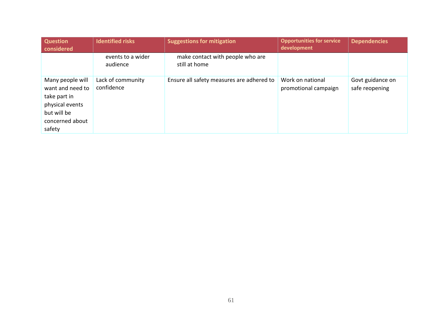| <b>Question</b><br>considered                                                                                       | <b>Identified risks</b>         | <b>Suggestions for mitigation</b>                 | <b>Opportunities for service</b><br>development | <b>Dependencies</b>                |
|---------------------------------------------------------------------------------------------------------------------|---------------------------------|---------------------------------------------------|-------------------------------------------------|------------------------------------|
|                                                                                                                     | events to a wider<br>audience   | make contact with people who are<br>still at home |                                                 |                                    |
| Many people will<br>want and need to<br>take part in<br>physical events<br>but will be<br>concerned about<br>safety | Lack of community<br>confidence | Ensure all safety measures are adhered to         | Work on national<br>promotional campaign        | Govt guidance on<br>safe reopening |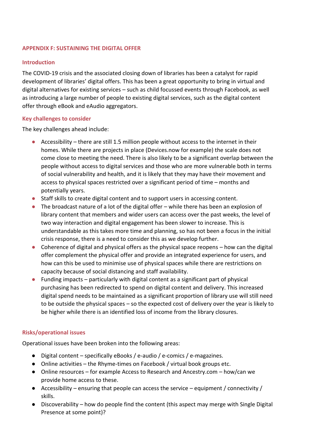## **APPENDIX F: SUSTAINING THE DIGITAL OFFER**

### **Introduction**

The COVID-19 crisis and the associated closing down of libraries has been a catalyst for rapid development of libraries' digital offers. This has been a great opportunity to bring in virtual and digital alternatives for existing services – such as child focussed events through Facebook, as well as introducing a large number of people to existing digital services, such as the digital content offer through eBook and eAudio aggregators.

### **Key challenges to consider**

The key challenges ahead include:

- $\bullet$  Accessibility there are still 1.5 million people without access to the internet in their homes. While there are projects in place (Devices.now for example) the scale does not come close to meeting the need. There is also likely to be a significant overlap between the people without access to digital services and those who are more vulnerable both in terms of social vulnerability and health, and it is likely that they may have their movement and access to physical spaces restricted over a significant period of time – months and potentially years.
- Staff skills to create digital content and to support users in accessing content.
- The broadcast nature of a lot of the digital offer while there has been an explosion of library content that members and wider users can access over the past weeks, the level of two way interaction and digital engagement has been slower to increase. This is understandable as this takes more time and planning, so has not been a focus in the initial crisis response, there is a need to consider this as we develop further.
- Coherence of digital and physical offers as the physical space reopens how can the digital offer complement the physical offer and provide an integrated experience for users, and how can this be used to minimise use of physical spaces while there are restrictions on capacity because of social distancing and staff availability.
- $\bullet$  Funding impacts particularly with digital content as a significant part of physical purchasing has been redirected to spend on digital content and delivery. This increased digital spend needs to be maintained as a significant proportion of library use will still need to be outside the physical spaces – so the expected cost of delivery over the year is likely to be higher while there is an identified loss of income from the library closures.

### **Risks/operational issues**

Operational issues have been broken into the following areas:

- Digital content specifically eBooks / e-audio / e-comics / e-magazines.
- Online activities the Rhyme-times on Facebook / virtual book groups etc.
- Online resources for example Access to Research and Ancestry.com how/can we provide home access to these.
- Accessibility ensuring that people can access the service equipment / connectivity / skills.
- Discoverability how do people find the content (this aspect may merge with Single Digital Presence at some point)?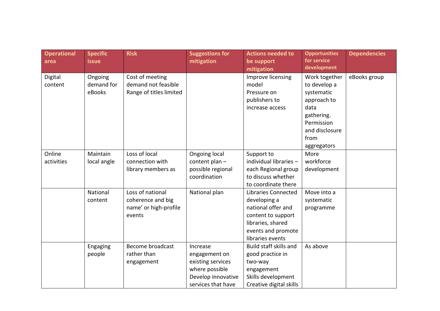| <b>Operational</b><br>area | <b>Specific</b><br><b>issue</b> | <b>Risk</b>                                                              | <b>Suggestions for</b><br>mitigation                                                                         | <b>Actions needed to</b><br>be support<br>mitigation                                                                                                  | <b>Opportunities</b><br>for service<br>development                                                                                      | <b>Dependencies</b> |
|----------------------------|---------------------------------|--------------------------------------------------------------------------|--------------------------------------------------------------------------------------------------------------|-------------------------------------------------------------------------------------------------------------------------------------------------------|-----------------------------------------------------------------------------------------------------------------------------------------|---------------------|
| Digital<br>content         | Ongoing<br>demand for<br>eBooks | Cost of meeting<br>demand not feasible<br>Range of titles limited        |                                                                                                              | Improve licensing<br>model<br>Pressure on<br>publishers to<br>increase access                                                                         | Work together<br>to develop a<br>systematic<br>approach to<br>data<br>gathering.<br>Permission<br>and disclosure<br>from<br>aggregators | eBooks group        |
| Online<br>activities       | Maintain<br>local angle         | Loss of local<br>connection with<br>library members as                   | Ongoing local<br>content plan -<br>possible regional<br>coordination                                         | Support to<br>individual libraries -<br>each Regional group<br>to discuss whether<br>to coordinate there                                              | More<br>workforce<br>development                                                                                                        |                     |
|                            | National<br>content             | Loss of national<br>coherence and big<br>name' or high-profile<br>events | National plan                                                                                                | <b>Libraries Connected</b><br>developing a<br>national offer and<br>content to support<br>libraries, shared<br>events and promote<br>libraries events | Move into a<br>systematic<br>programme                                                                                                  |                     |
|                            | Engaging<br>people              | <b>Become broadcast</b><br>rather than<br>engagement                     | Increase<br>engagement on<br>existing services<br>where possible<br>Develop innovative<br>services that have | Build staff skills and<br>good practice in<br>two-way<br>engagement<br>Skills development<br>Creative digital skills                                  | As above                                                                                                                                |                     |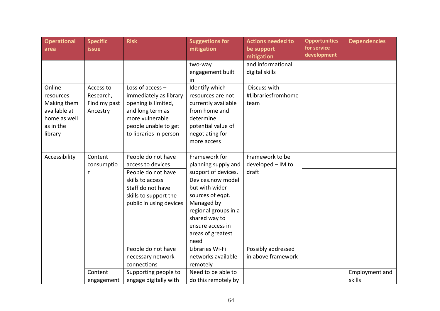| <b>Operational</b><br>area | <b>Specific</b><br><b>issue</b> | <b>Risk</b>             | <b>Suggestions for</b><br>mitigation  | <b>Actions needed to</b><br>be support | <b>Opportunities</b><br>for service | <b>Dependencies</b> |
|----------------------------|---------------------------------|-------------------------|---------------------------------------|----------------------------------------|-------------------------------------|---------------------|
|                            |                                 |                         |                                       | mitigation                             | development                         |                     |
|                            |                                 |                         | two-way                               | and informational                      |                                     |                     |
|                            |                                 |                         | engagement built                      | digital skills                         |                                     |                     |
|                            |                                 |                         | <i>in</i>                             |                                        |                                     |                     |
| Online                     | Access to                       | Loss of $access -$      | Identify which                        | Discuss with                           |                                     |                     |
| resources                  | Research,                       | immediately as library  | resources are not                     | #Librariesfromhome                     |                                     |                     |
| Making them                | Find my past                    | opening is limited,     | currently available                   | team                                   |                                     |                     |
| available at               | Ancestry                        | and long term as        | from home and                         |                                        |                                     |                     |
| home as well               |                                 | more vulnerable         | determine                             |                                        |                                     |                     |
| as in the                  |                                 | people unable to get    | potential value of                    |                                        |                                     |                     |
| library                    |                                 | to libraries in person  | negotiating for                       |                                        |                                     |                     |
|                            |                                 |                         | more access                           |                                        |                                     |                     |
|                            |                                 |                         |                                       |                                        |                                     |                     |
| Accessibility              | Content                         | People do not have      | Framework for                         | Framework to be                        |                                     |                     |
|                            | consumptio                      | access to devices       | planning supply and                   | developed - IM to                      |                                     |                     |
|                            | n                               | People do not have      | support of devices.                   | draft                                  |                                     |                     |
|                            |                                 | skills to access        | Devices.now model                     |                                        |                                     |                     |
|                            |                                 | Staff do not have       | but with wider                        |                                        |                                     |                     |
|                            |                                 | skills to support the   | sources of eqpt.                      |                                        |                                     |                     |
|                            |                                 | public in using devices | Managed by                            |                                        |                                     |                     |
|                            |                                 |                         | regional groups in a<br>shared way to |                                        |                                     |                     |
|                            |                                 |                         | ensure access in                      |                                        |                                     |                     |
|                            |                                 |                         | areas of greatest                     |                                        |                                     |                     |
|                            |                                 |                         | need                                  |                                        |                                     |                     |
|                            |                                 | People do not have      | Libraries Wi-Fi                       | Possibly addressed                     |                                     |                     |
|                            |                                 | necessary network       | networks available                    | in above framework                     |                                     |                     |
|                            |                                 | connections             | remotely                              |                                        |                                     |                     |
|                            | Content                         | Supporting people to    | Need to be able to                    |                                        |                                     | Employment and      |
|                            | engagement                      | engage digitally with   | do this remotely by                   |                                        |                                     | skills              |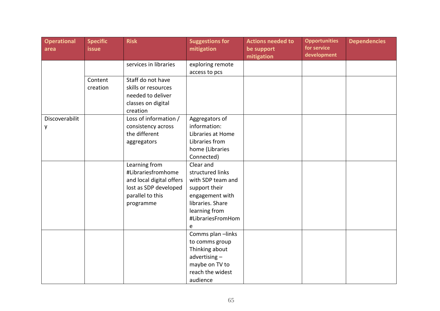| <b>Operational</b><br>area | <b>Specific</b><br><b>issue</b> | <b>Risk</b>              | <b>Suggestions for</b><br>mitigation | <b>Actions needed to</b><br>be support | <b>Opportunities</b><br>for service | <b>Dependencies</b> |
|----------------------------|---------------------------------|--------------------------|--------------------------------------|----------------------------------------|-------------------------------------|---------------------|
|                            |                                 |                          |                                      | mitigation                             | development                         |                     |
|                            |                                 | services in libraries    | exploring remote                     |                                        |                                     |                     |
|                            |                                 |                          | access to pcs                        |                                        |                                     |                     |
|                            | Content                         | Staff do not have        |                                      |                                        |                                     |                     |
|                            | creation                        | skills or resources      |                                      |                                        |                                     |                     |
|                            |                                 | needed to deliver        |                                      |                                        |                                     |                     |
|                            |                                 | classes on digital       |                                      |                                        |                                     |                     |
|                            |                                 | creation                 |                                      |                                        |                                     |                     |
| Discoverabilit             |                                 | Loss of information /    | Aggregators of                       |                                        |                                     |                     |
| у                          |                                 | consistency across       | information:                         |                                        |                                     |                     |
|                            |                                 | the different            | Libraries at Home                    |                                        |                                     |                     |
|                            |                                 | aggregators              | Libraries from                       |                                        |                                     |                     |
|                            |                                 |                          | home (Libraries                      |                                        |                                     |                     |
|                            |                                 |                          | Connected)                           |                                        |                                     |                     |
|                            |                                 | Learning from            | Clear and                            |                                        |                                     |                     |
|                            |                                 | #Librariesfromhome       | structured links                     |                                        |                                     |                     |
|                            |                                 | and local digital offers | with SDP team and                    |                                        |                                     |                     |
|                            |                                 | lost as SDP developed    | support their                        |                                        |                                     |                     |
|                            |                                 | parallel to this         | engagement with                      |                                        |                                     |                     |
|                            |                                 | programme                | libraries. Share                     |                                        |                                     |                     |
|                            |                                 |                          | learning from                        |                                        |                                     |                     |
|                            |                                 |                          | #LibrariesFromHom                    |                                        |                                     |                     |
|                            |                                 |                          | e                                    |                                        |                                     |                     |
|                            |                                 |                          | Comms plan-links                     |                                        |                                     |                     |
|                            |                                 |                          | to comms group                       |                                        |                                     |                     |
|                            |                                 |                          | Thinking about                       |                                        |                                     |                     |
|                            |                                 |                          | advertising-                         |                                        |                                     |                     |
|                            |                                 |                          | maybe on TV to                       |                                        |                                     |                     |
|                            |                                 |                          | reach the widest                     |                                        |                                     |                     |
|                            |                                 |                          | audience                             |                                        |                                     |                     |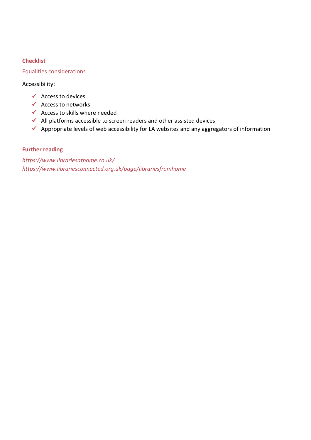# **Checklist**

# Equalities considerations

Accessibility:

- $\checkmark$  Access to devices
- $\checkmark$  Access to networks
- $\checkmark$  Access to skills where needed
- ✓ All platforms accessible to screen readers and other assisted devices
- ✓ Appropriate levels of web accessibility for LA websites and any aggregators of information

## **Further reading**

*<https://www.librariesathome.co.uk/> <https://www.librariesconnected.org.uk/page/librariesfromhome>*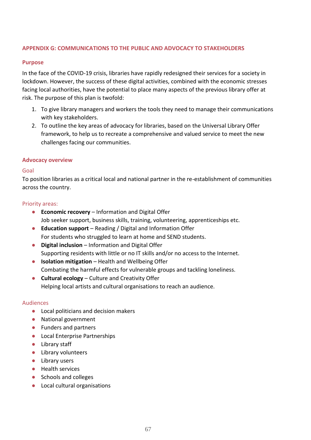## **APPENDIX G: COMMUNICATIONS TO THE PUBLIC AND ADVOCACY TO STAKEHOLDERS**

### **Purpose**

In the face of the COVID-19 crisis, libraries have rapidly redesigned their services for a society in lockdown. However, the success of these digital activities, combined with the economic stresses facing local authorities, have the potential to place many aspects of the previous library offer at risk. The purpose of this plan is twofold:

- 1. To give library managers and workers the tools they need to manage their communications with key stakeholders.
- 2. To outline the key areas of advocacy for libraries, based on the Universal Library Offer framework, to help us to recreate a comprehensive and valued service to meet the new challenges facing our communities.

### **Advocacy overview**

### Goal

To position libraries as a critical local and national partner in the re-establishment of communities across the country.

### Priority areas:

- **Economic recovery** Information and Digital Offer Job seeker support, business skills, training, volunteering, apprenticeships etc.
- **Education support** Reading / Digital and Information Offer For students who struggled to learn at home and SEND students.
- **Digital inclusion** Information and Digital Offer Supporting residents with little or no IT skills and/or no access to the Internet.
- **Isolation mitigation** Health and Wellbeing Offer Combating the harmful effects for vulnerable groups and tackling loneliness.
- **Cultural ecology** Culture and Creativity Offer Helping local artists and cultural organisations to reach an audience.

#### Audiences

- Local politicians and decision makers
- National government
- Funders and partners
- Local Enterprise Partnerships
- Library staff
- Library volunteers
- Library users
- Health services
- Schools and colleges
- Local cultural organisations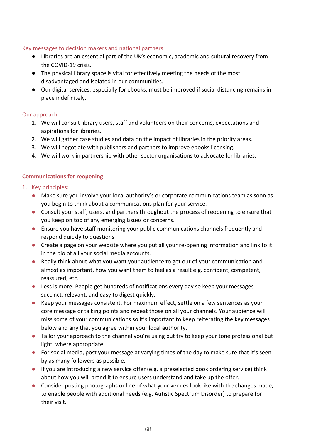## Key messages to decision makers and national partners:

- Libraries are an essential part of the UK's economic, academic and cultural recovery from the COVID-19 crisis.
- The physical library space is vital for effectively meeting the needs of the most disadvantaged and isolated in our communities.
- Our digital services, especially for ebooks, must be improved if social distancing remains in place indefinitely.

## Our approach

- 1. We will consult library users, staff and volunteers on their concerns, expectations and aspirations for libraries.
- 2. We will gather case studies and data on the impact of libraries in the priority areas.
- 3. We will negotiate with publishers and partners to improve ebooks licensing.
- 4. We will work in partnership with other sector organisations to advocate for libraries.

# **Communications for reopening**

- 1. Key principles:
	- Make sure you involve your local authority's or corporate communications team as soon as you begin to think about a communications plan for your service.
	- Consult your staff, users, and partners throughout the process of reopening to ensure that you keep on top of any emerging issues or concerns.
	- Ensure you have staff monitoring your public communications channels frequently and respond quickly to questions
	- Create a page on your website where you put all your re-opening information and link to it in the bio of all your social media accounts.
	- Really think about what you want your audience to get out of your communication and almost as important, how you want them to feel as a result e.g. confident, competent, reassured, etc.
	- Less is more. People get hundreds of notifications every day so keep your messages succinct, relevant, and easy to digest quickly.
	- Keep your messages consistent. For maximum effect, settle on a few sentences as your core message or talking points and repeat those on all your channels. Your audience will miss some of your communications so it's important to keep reiterating the key messages below and any that you agree within your local authority.
	- Tailor your approach to the channel you're using but try to keep your tone professional but light, where appropriate.
	- For social media, post your message at varying times of the day to make sure that it's seen by as many followers as possible.
	- $\bullet$  If you are introducing a new service offer (e.g. a preselected book ordering service) think about how you will brand it to ensure users understand and take up the offer.
	- Consider posting photographs online of what your venues look like with the changes made, to enable people with additional needs (e.g. Autistic Spectrum Disorder) to prepare for their visit.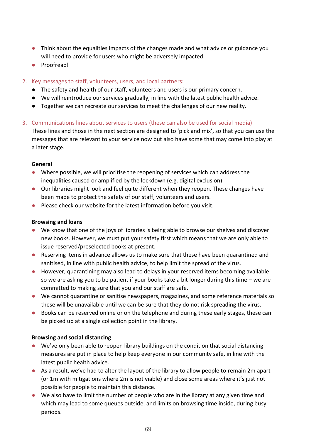- Think about the equalities impacts of the changes made and what advice or guidance you will need to provide for users who might be adversely impacted.
- Proofread!
- 2. Key messages to staff, volunteers, users, and local partners:
	- The safety and health of our staff, volunteers and users is our primary concern.
	- We will reintroduce our services gradually, in line with the latest public health advice.
	- Together we can recreate our services to meet the challenges of our new reality.
- 3. Communications lines about services to users (these can also be used for social media)

These lines and those in the next section are designed to 'pick and mix', so that you can use the messages that are relevant to your service now but also have some that may come into play at a later stage.

## **General**

- Where possible, we will prioritise the reopening of services which can address the inequalities caused or amplified by the lockdown (e.g. digital exclusion).
- Our libraries might look and feel quite different when they reopen. These changes have been made to protect the safety of our staff, volunteers and users.
- Please check our website for the latest information before you visit.

### **Browsing and loans**

- We know that one of the joys of libraries is being able to browse our shelves and discover new books. However, we must put your safety first which means that we are only able to issue reserved/preselected books at present.
- Reserving items in advance allows us to make sure that these have been quarantined and sanitised, in line with public health advice, to help limit the spread of the virus.
- However, quarantining may also lead to delays in your reserved items becoming available so we are asking you to be patient if your books take a bit longer during this time – we are committed to making sure that you and our staff are safe.
- We cannot quarantine or sanitise newspapers, magazines, and some reference materials so these will be unavailable until we can be sure that they do not risk spreading the virus.
- Books can be reserved online or on the telephone and during these early stages, these can be picked up at a single collection point in the library.

### **Browsing and social distancing**

- We've only been able to reopen library buildings on the condition that social distancing measures are put in place to help keep everyone in our community safe, in line with the latest public health advice.
- As a result, we've had to alter the layout of the library to allow people to remain 2m apart (or 1m with mitigations where 2m is not viable) and close some areas where it's just not possible for people to maintain this distance.
- We also have to limit the number of people who are in the library at any given time and which may lead to some queues outside, and limits on browsing time inside, during busy periods.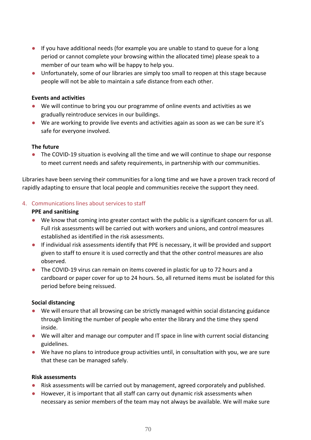- If you have additional needs (for example you are unable to stand to queue for a long period or cannot complete your browsing within the allocated time) please speak to a member of our team who will be happy to help you.
- Unfortunately, some of our libraries are simply too small to reopen at this stage because people will not be able to maintain a safe distance from each other.

## **Events and activities**

- We will continue to bring you our programme of online events and activities as we gradually reintroduce services in our buildings.
- We are working to provide live events and activities again as soon as we can be sure it's safe for everyone involved.

## **The future**

● The COVID-19 situation is evolving all the time and we will continue to shape our response to meet current needs and safety requirements, in partnership with our communities.

Libraries have been serving their communities for a long time and we have a proven track record of rapidly adapting to ensure that local people and communities receive the support they need.

## 4. Communications lines about services to staff

## **PPE and sanitising**

- We know that coming into greater contact with the public is a significant concern for us all. Full risk assessments will be carried out with workers and unions, and control measures established as identified in the risk assessments.
- If individual risk assessments identify that PPE is necessary, it will be provided and support given to staff to ensure it is used correctly and that the other control measures are also observed.
- The COVID-19 virus can remain on items covered in plastic for up to 72 hours and a cardboard or paper cover for up to 24 hours. So, all returned items must be isolated for this period before being reissued.

### **Social distancing**

- We will ensure that all browsing can be strictly managed within social distancing guidance through limiting the number of people who enter the library and the time they spend inside.
- We will alter and manage our computer and IT space in line with current social distancing guidelines.
- We have no plans to introduce group activities until, in consultation with you, we are sure that these can be managed safely.

### **Risk assessments**

- Risk assessments will be carried out by management, agreed corporately and published.
- However, it is important that all staff can carry out dynamic risk assessments when necessary as senior members of the team may not always be available. We will make sure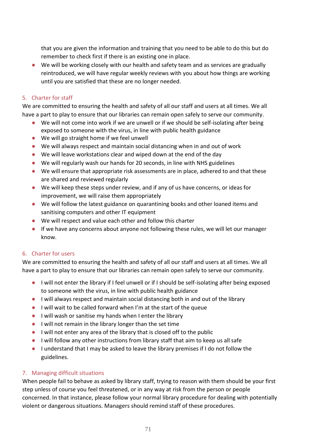that you are given the information and training that you need to be able to do this but do remember to check first if there is an existing one in place.

● We will be working closely with our health and safety team and as services are gradually reintroduced, we will have regular weekly reviews with you about how things are working until you are satisfied that these are no longer needed.

# 5. Charter for staff

We are committed to ensuring the health and safety of all our staff and users at all times. We all have a part to play to ensure that our libraries can remain open safely to serve our community.

- We will not come into work if we are unwell or if we should be self-isolating after being exposed to someone with the virus, in line with public health guidance
- We will go straight home if we feel unwell
- We will always respect and maintain social distancing when in and out of work
- We will leave workstations clear and wiped down at the end of the day
- We will regularly wash our hands for 20 seconds, in line with NHS guidelines
- We will ensure that appropriate risk assessments are in place, adhered to and that these are shared and reviewed regularly
- We will keep these steps under review, and if any of us have concerns, or ideas for improvement, we will raise them appropriately
- We will follow the latest guidance on quarantining books and other loaned items and sanitising computers and other IT equipment
- We will respect and value each other and follow this charter
- If we have any concerns about anyone not following these rules, we will let our manager know.

# 6. Charter for users

We are committed to ensuring the health and safety of all our staff and users at all times. We all have a part to play to ensure that our libraries can remain open safely to serve our community.

- I will not enter the library if I feel unwell or if I should be self-isolating after being exposed to someone with the virus, in line with public health guidance
- I will always respect and maintain social distancing both in and out of the library
- I will wait to be called forward when I'm at the start of the queue
- I will wash or sanitise my hands when I enter the library
- I will not remain in the library longer than the set time
- I will not enter any area of the library that is closed off to the public
- I will follow any other instructions from library staff that aim to keep us all safe
- I understand that I may be asked to leave the library premises if I do not follow the guidelines.

# 7. Managing difficult situations

When people fail to behave as asked by library staff, trying to reason with them should be your first step unless of course you feel threatened, or in any way at risk from the person or people concerned. In that instance, please follow your normal library procedure for dealing with potentially violent or dangerous situations. Managers should remind staff of these procedures.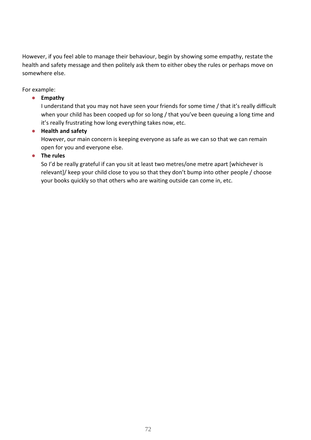However, if you feel able to manage their behaviour, begin by showing some empathy, restate the health and safety message and then politely ask them to either obey the rules or perhaps move on somewhere else.

For example:

# ● **Empathy**

I understand that you may not have seen your friends for some time / that it's really difficult when your child has been cooped up for so long / that you've been queuing a long time and it's really frustrating how long everything takes now, etc.

# ● **Health and safety**

However, our main concern is keeping everyone as safe as we can so that we can remain open for you and everyone else.

# ● **The rules**

So I'd be really grateful if can you sit at least two metres/one metre apart [whichever is relevant]/ keep your child close to you so that they don't bump into other people / choose your books quickly so that others who are waiting outside can come in, etc.